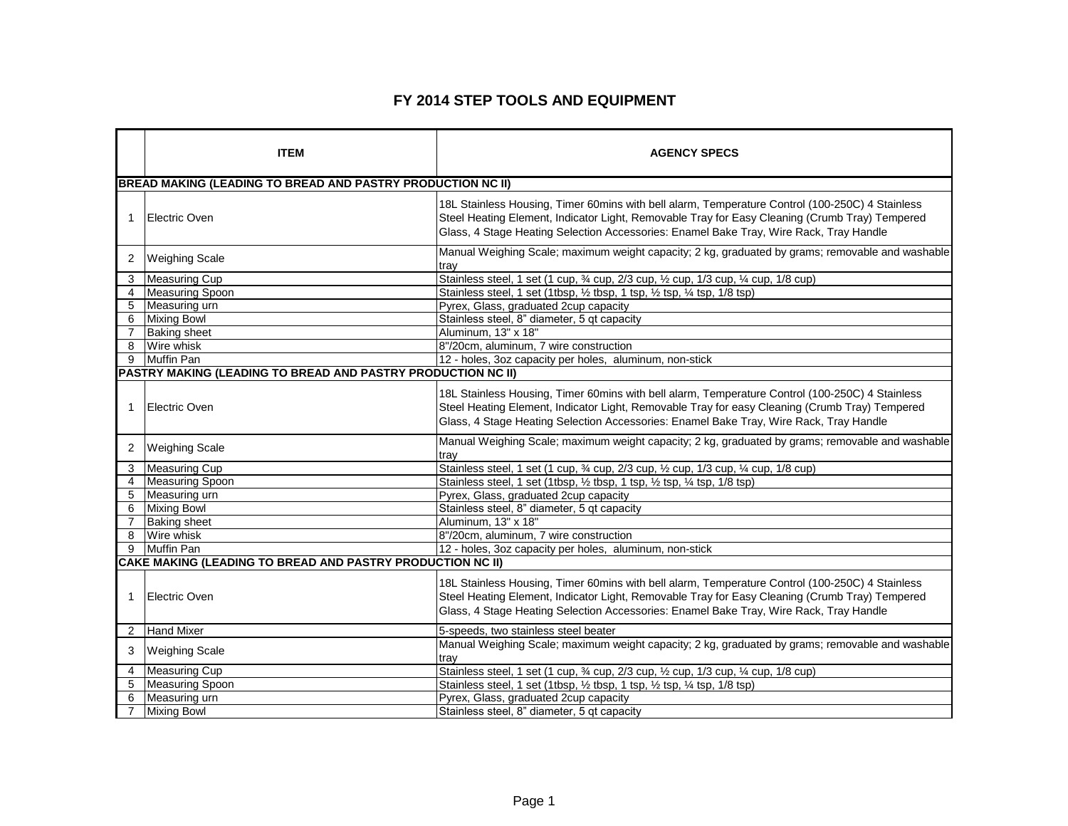## **FY 2014 STEP TOOLS AND EQUIPMENT**

|                | <b>ITEM</b>                                                        | <b>AGENCY SPECS</b>                                                                                                                                                                                                                                                                         |
|----------------|--------------------------------------------------------------------|---------------------------------------------------------------------------------------------------------------------------------------------------------------------------------------------------------------------------------------------------------------------------------------------|
|                | <b>BREAD MAKING (LEADING TO BREAD AND PASTRY PRODUCTION NC II)</b> |                                                                                                                                                                                                                                                                                             |
| $\mathbf 1$    | <b>Electric Oven</b>                                               | 18L Stainless Housing, Timer 60mins with bell alarm, Temperature Control (100-250C) 4 Stainless<br>Steel Heating Element, Indicator Light, Removable Tray for Easy Cleaning (Crumb Tray) Tempered<br>Glass, 4 Stage Heating Selection Accessories: Enamel Bake Tray, Wire Rack, Tray Handle |
| 2              | <b>Weighing Scale</b>                                              | Manual Weighing Scale; maximum weight capacity; 2 kg, graduated by grams; removable and washable<br>tray                                                                                                                                                                                    |
| 3              | Measuring Cup                                                      | Stainless steel, 1 set (1 cup, 3/4 cup, 2/3 cup, 1/2 cup, 1/3 cup, 1/4 cup, 1/8 cup)                                                                                                                                                                                                        |
| $\overline{4}$ | <b>Measuring Spoon</b>                                             | Stainless steel, 1 set (1tbsp, 1/2 tbsp, 1 tsp, 1/2 tsp, 1/4 tsp, 1/8 tsp)                                                                                                                                                                                                                  |
| 5              | Measuring urn                                                      | Pyrex, Glass, graduated 2cup capacity                                                                                                                                                                                                                                                       |
| 6              | <b>Mixing Bowl</b>                                                 | Stainless steel, 8" diameter, 5 qt capacity                                                                                                                                                                                                                                                 |
| $\overline{7}$ | <b>Baking sheet</b>                                                | Aluminum. 13" x 18"                                                                                                                                                                                                                                                                         |
| 8              | Wire whisk                                                         | 8"/20cm, aluminum, 7 wire construction                                                                                                                                                                                                                                                      |
| 9              | <b>Muffin Pan</b>                                                  | 12 - holes, 3oz capacity per holes, aluminum, non-stick                                                                                                                                                                                                                                     |
|                | PASTRY MAKING (LEADING TO BREAD AND PASTRY PRODUCTION NC II)       |                                                                                                                                                                                                                                                                                             |
| $\mathbf 1$    | Electric Oven                                                      | 18L Stainless Housing, Timer 60mins with bell alarm, Temperature Control (100-250C) 4 Stainless<br>Steel Heating Element, Indicator Light, Removable Tray for easy Cleaning (Crumb Tray) Tempered<br>Glass, 4 Stage Heating Selection Accessories: Enamel Bake Tray, Wire Rack, Tray Handle |
| 2              | <b>Weighing Scale</b>                                              | Manual Weighing Scale; maximum weight capacity; 2 kg, graduated by grams; removable and washable<br>trav                                                                                                                                                                                    |
| 3              | Measuring Cup                                                      | Stainless steel, 1 set (1 cup, 3⁄4 cup, 2/3 cup, 1/2 cup, 1/3 cup, 1/4 cup, 1/8 cup)                                                                                                                                                                                                        |
| 4              | <b>Measuring Spoon</b>                                             | Stainless steel, 1 set (1tbsp, 1/2 tbsp, 1 tsp, 1/2 tsp, 1/4 tsp, 1/8 tsp)                                                                                                                                                                                                                  |
| 5              | Measuring urn                                                      | Pyrex, Glass, graduated 2cup capacity                                                                                                                                                                                                                                                       |
| 6              | <b>Mixing Bowl</b>                                                 | Stainless steel, 8" diameter, 5 qt capacity                                                                                                                                                                                                                                                 |
| $\overline{7}$ | <b>Baking sheet</b>                                                | Aluminum, 13" x 18"                                                                                                                                                                                                                                                                         |
| 8              | Wire whisk                                                         | 8"/20cm, aluminum, 7 wire construction                                                                                                                                                                                                                                                      |
| 9              | <b>Muffin Pan</b>                                                  | 12 - holes, 3oz capacity per holes, aluminum, non-stick                                                                                                                                                                                                                                     |
|                | CAKE MAKING (LEADING TO BREAD AND PASTRY PRODUCTION NC II)         |                                                                                                                                                                                                                                                                                             |
| $\mathbf 1$    | <b>Electric Oven</b>                                               | 18L Stainless Housing, Timer 60mins with bell alarm, Temperature Control (100-250C) 4 Stainless<br>Steel Heating Element, Indicator Light, Removable Tray for Easy Cleaning (Crumb Tray) Tempered<br>Glass, 4 Stage Heating Selection Accessories: Enamel Bake Tray, Wire Rack, Tray Handle |
| 2              | <b>Hand Mixer</b>                                                  | 5-speeds, two stainless steel beater                                                                                                                                                                                                                                                        |
| 3              | <b>Weighing Scale</b>                                              | Manual Weighing Scale; maximum weight capacity; 2 kg, graduated by grams; removable and washable<br>trav                                                                                                                                                                                    |
| $\overline{4}$ | <b>Measuring Cup</b>                                               | Stainless steel, 1 set (1 cup, 3⁄4 cup, 2/3 cup, 1/2 cup, 1/3 cup, 1/4 cup, 1/8 cup)                                                                                                                                                                                                        |
| 5              | <b>Measuring Spoon</b>                                             | Stainless steel, 1 set (1tbsp, 1/2 tbsp, 1 tsp, 1/2 tsp, 1/4 tsp, 1/8 tsp)                                                                                                                                                                                                                  |
| 6              | Measuring urn                                                      | Pyrex, Glass, graduated 2cup capacity                                                                                                                                                                                                                                                       |
| $\overline{7}$ | <b>Mixing Bowl</b>                                                 | Stainless steel, 8" diameter, 5 gt capacity                                                                                                                                                                                                                                                 |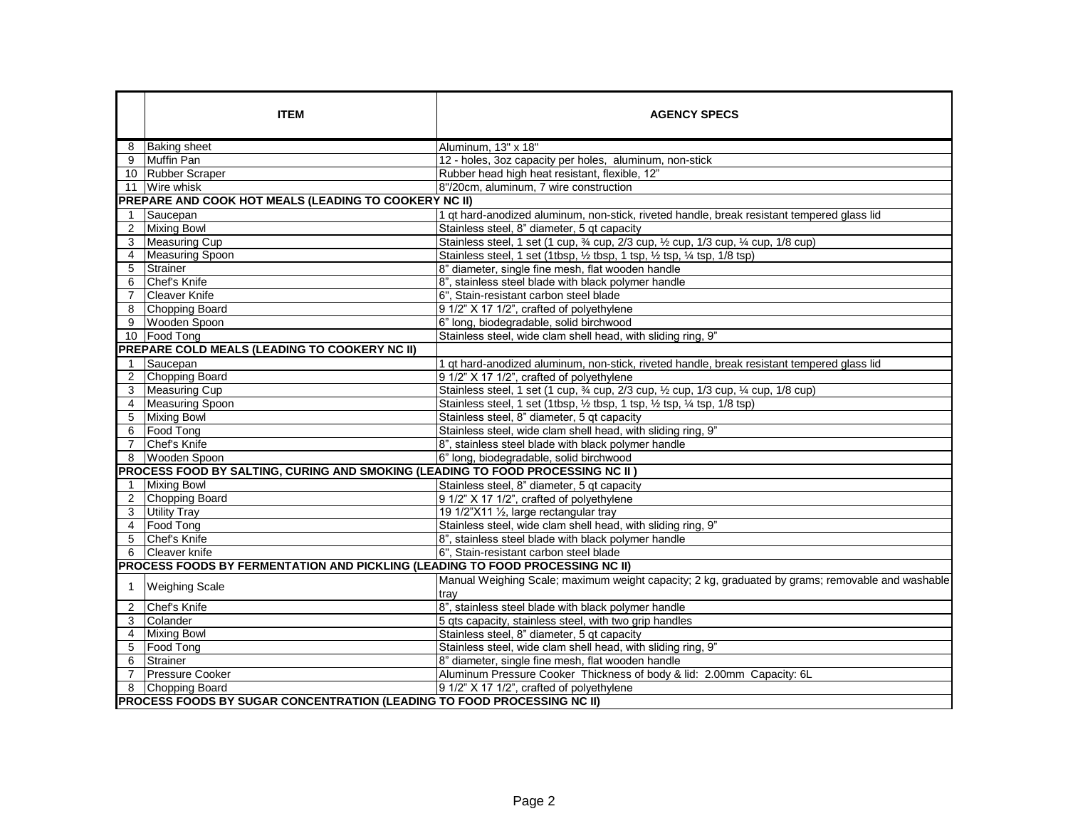|                | <b>ITEM</b>                                                                    | <b>AGENCY SPECS</b>                                                                                      |
|----------------|--------------------------------------------------------------------------------|----------------------------------------------------------------------------------------------------------|
| 8              | <b>Baking sheet</b>                                                            | Aluminum, 13" x 18"                                                                                      |
| 9              | <b>Muffin Pan</b>                                                              | 12 - holes, 3oz capacity per holes, aluminum, non-stick                                                  |
|                | 10 Rubber Scraper                                                              | Rubber head high heat resistant, flexible, 12"                                                           |
| 11             | Wire whisk                                                                     | 8"/20cm, aluminum, 7 wire construction                                                                   |
|                | PREPARE AND COOK HOT MEALS (LEADING TO COOKERY NC II)                          |                                                                                                          |
| $\mathbf 1$    | Saucepan                                                                       | 1 qt hard-anodized aluminum, non-stick, riveted handle, break resistant tempered glass lid               |
| $\overline{2}$ | <b>Mixing Bowl</b>                                                             | Stainless steel, 8" diameter, 5 gt capacity                                                              |
| 3              | <b>Measuring Cup</b>                                                           | Stainless steel, 1 set (1 cup, 3⁄4 cup, 2/3 cup, 1/2 cup, 1/3 cup, 1/4 cup, 1/8 cup)                     |
| $\overline{4}$ | Measuring Spoon                                                                | Stainless steel, 1 set (1tbsp, 1/2 tbsp, 1 tsp, 1/2 tsp, 1/4 tsp, 1/8 tsp)                               |
| 5              | Strainer                                                                       | 8" diameter, single fine mesh, flat wooden handle                                                        |
| 6              | Chef's Knife                                                                   | 8", stainless steel blade with black polymer handle                                                      |
| $\overline{7}$ | <b>Cleaver Knife</b>                                                           | 6", Stain-resistant carbon steel blade                                                                   |
| 8              | Chopping Board                                                                 | 9 1/2" X 17 1/2", crafted of polyethylene                                                                |
| 9              | Wooden Spoon                                                                   | 6" long, biodegradable, solid birchwood                                                                  |
|                | 10 Food Tong                                                                   | Stainless steel, wide clam shell head, with sliding ring, 9"                                             |
|                | PREPARE COLD MEALS (LEADING TO COOKERY NC II)                                  |                                                                                                          |
| $\mathbf{1}$   | Saucepan                                                                       | 1 qt hard-anodized aluminum, non-stick, riveted handle, break resistant tempered glass lid               |
| $\overline{2}$ | Chopping Board                                                                 | 9 1/2" X 17 1/2", crafted of polyethylene                                                                |
| 3              | Measuring Cup                                                                  | Stainless steel, 1 set (1 cup, 3⁄4 cup, 2/3 cup, 1/2 cup, 1/3 cup, 1/4 cup, 1/8 cup)                     |
|                | 4 Measuring Spoon                                                              | Stainless steel, 1 set (1tbsp, 1/2 tbsp, 1 tsp, 1/2 tsp, 1/4 tsp, 1/8 tsp)                               |
| 5              | <b>Mixing Bowl</b>                                                             | Stainless steel, 8" diameter, 5 gt capacity                                                              |
| 6              | Food Tong                                                                      | Stainless steel, wide clam shell head, with sliding ring, 9"                                             |
| $\overline{7}$ | Chef's Knife                                                                   | 8", stainless steel blade with black polymer handle                                                      |
| 8              | Wooden Spoon                                                                   | 6" long, biodegradable, solid birchwood                                                                  |
|                | PROCESS FOOD BY SALTING, CURING AND SMOKING (LEADING TO FOOD PROCESSING NC II) |                                                                                                          |
| 1              | <b>Mixing Bowl</b>                                                             | Stainless steel, 8" diameter, 5 qt capacity                                                              |
| $\overline{2}$ | Chopping Board                                                                 | 9 1/2" X 17 1/2", crafted of polyethylene                                                                |
| 3              | <b>Utility Tray</b>                                                            | 19 1/2"X11 1/2, large rectangular tray                                                                   |
|                | 4 Food Tong                                                                    | Stainless steel, wide clam shell head, with sliding ring, 9"                                             |
| 5              | Chef's Knife                                                                   | 8", stainless steel blade with black polymer handle                                                      |
| 6              | <b>Cleaver knife</b>                                                           | 6". Stain-resistant carbon steel blade                                                                   |
|                | PROCESS FOODS BY FERMENTATION AND PICKLING (LEADING TO FOOD PROCESSING NC II)  |                                                                                                          |
| 1              | <b>Weighing Scale</b>                                                          | Manual Weighing Scale; maximum weight capacity; 2 kg, graduated by grams; removable and washable<br>tray |
| 2              | Chef's Knife                                                                   | 8", stainless steel blade with black polymer handle                                                      |
| 3              | Colander                                                                       | 5 qts capacity, stainless steel, with two grip handles                                                   |
| 4              | <b>Mixing Bowl</b>                                                             | Stainless steel, 8" diameter, 5 gt capacity                                                              |
| 5              | Food Tong                                                                      | Stainless steel, wide clam shell head, with sliding ring, 9"                                             |
| 6              | Strainer                                                                       | 8" diameter, single fine mesh, flat wooden handle                                                        |
| $\overline{7}$ | <b>Pressure Cooker</b>                                                         | Aluminum Pressure Cooker Thickness of body & lid: 2.00mm Capacity: 6L                                    |
|                | 8 Chopping Board                                                               | 9 1/2" X 17 1/2", crafted of polyethylene                                                                |
|                | PROCESS FOODS BY SUGAR CONCENTRATION (LEADING TO FOOD PROCESSING NC II)        |                                                                                                          |

 $\mathbb{R}^2$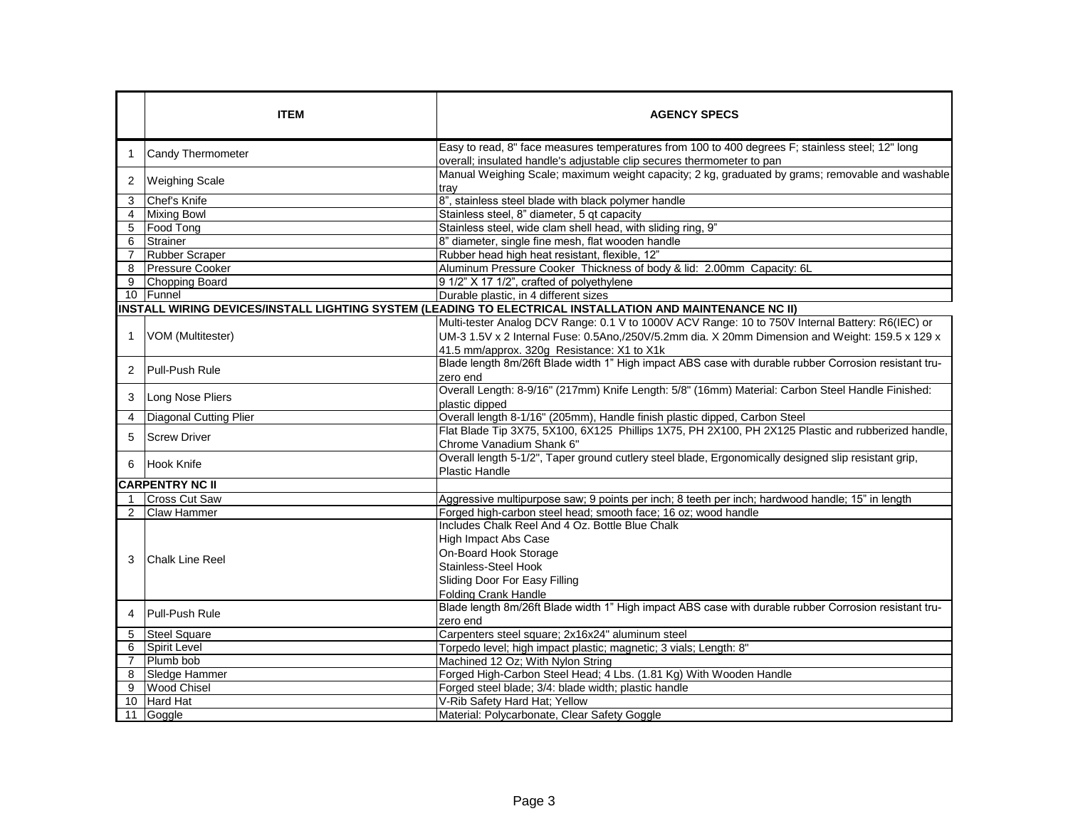|                | <b>ITEM</b>                   | <b>AGENCY SPECS</b>                                                                                                                                                        |
|----------------|-------------------------------|----------------------------------------------------------------------------------------------------------------------------------------------------------------------------|
| $\mathbf 1$    | Candy Thermometer             | Easy to read, 8" face measures temperatures from 100 to 400 degrees F; stainless steel; 12" long<br>overall; insulated handle's adjustable clip secures thermometer to pan |
| 2              | <b>Weighing Scale</b>         | Manual Weighing Scale; maximum weight capacity; 2 kg, graduated by grams; removable and washable<br>trav                                                                   |
| 3              | Chef's Knife                  | 8", stainless steel blade with black polymer handle                                                                                                                        |
| $\overline{4}$ | <b>Mixing Bowl</b>            | Stainless steel, 8" diameter, 5 gt capacity                                                                                                                                |
| 5              | Food Tong                     | Stainless steel, wide clam shell head, with sliding ring, 9"                                                                                                               |
| 6              | Strainer                      | 8" diameter, single fine mesh, flat wooden handle                                                                                                                          |
| $\overline{7}$ | <b>Rubber Scraper</b>         | Rubber head high heat resistant, flexible, 12"                                                                                                                             |
| 8              | <b>Pressure Cooker</b>        | Aluminum Pressure Cooker Thickness of body & lid: 2.00mm Capacity: 6L                                                                                                      |
| 9              | Chopping Board                | 9 1/2" X 17 1/2", crafted of polyethylene                                                                                                                                  |
|                | 10   Funnel                   | Durable plastic, in 4 different sizes                                                                                                                                      |
|                |                               | INSTALL WIRING DEVICES/INSTALL LIGHTING SYSTEM (LEADING TO ELECTRICAL INSTALLATION AND MAINTENANCE NC II)                                                                  |
|                |                               | Multi-tester Analog DCV Range: 0.1 V to 1000V ACV Range: 10 to 750V Internal Battery: R6(IEC) or                                                                           |
| $\mathbf{1}$   | VOM (Multitester)             | UM-3 1.5V x 2 Internal Fuse: 0.5Ano,/250V/5.2mm dia. X 20mm Dimension and Weight: 159.5 x 129 x                                                                            |
|                |                               | 41.5 mm/approx. 320g Resistance: X1 to X1k                                                                                                                                 |
| 2              | Pull-Push Rule                | Blade length 8m/26ft Blade width 1" High impact ABS case with durable rubber Corrosion resistant tru-                                                                      |
|                |                               | zero end                                                                                                                                                                   |
| 3              | Long Nose Pliers              | Overall Length: 8-9/16" (217mm) Knife Length: 5/8" (16mm) Material: Carbon Steel Handle Finished:<br>plastic dipped                                                        |
| 4              | <b>Diagonal Cutting Plier</b> | Overall length 8-1/16" (205mm), Handle finish plastic dipped, Carbon Steel                                                                                                 |
|                |                               | Flat Blade Tip 3X75, 5X100, 6X125 Phillips 1X75, PH 2X100, PH 2X125 Plastic and rubberized handle,                                                                         |
| 5              | <b>Screw Driver</b>           | Chrome Vanadium Shank 6"                                                                                                                                                   |
|                |                               | Overall length 5-1/2", Taper ground cutlery steel blade, Ergonomically designed slip resistant grip,                                                                       |
| 6              | Hook Knife                    | <b>Plastic Handle</b>                                                                                                                                                      |
|                | <b>CARPENTRY NC II</b>        |                                                                                                                                                                            |
| $\overline{1}$ | <b>Cross Cut Saw</b>          | Aggressive multipurpose saw; 9 points per inch; 8 teeth per inch; hardwood handle; 15" in length                                                                           |
| 2              | <b>Claw Hammer</b>            | Forged high-carbon steel head; smooth face; 16 oz; wood handle                                                                                                             |
|                |                               | Includes Chalk Reel And 4 Oz. Bottle Blue Chalk                                                                                                                            |
|                |                               | <b>High Impact Abs Case</b>                                                                                                                                                |
|                |                               | On-Board Hook Storage                                                                                                                                                      |
| 3              | <b>Chalk Line Reel</b>        | Stainless-Steel Hook                                                                                                                                                       |
|                |                               | Sliding Door For Easy Filling                                                                                                                                              |
|                |                               | <b>Folding Crank Handle</b>                                                                                                                                                |
|                |                               | Blade length 8m/26ft Blade width 1" High impact ABS case with durable rubber Corrosion resistant tru-                                                                      |
| 4              | Pull-Push Rule                | zero end                                                                                                                                                                   |
| 5              | <b>Steel Square</b>           | Carpenters steel square; 2x16x24" aluminum steel                                                                                                                           |
| 6              | <b>Spirit Level</b>           | Torpedo level; high impact plastic; magnetic; 3 vials; Length: 8"                                                                                                          |
| $\overline{7}$ | Plumb bob                     | Machined 12 Oz; With Nylon String                                                                                                                                          |
| 8              | Sledge Hammer                 | Forged High-Carbon Steel Head; 4 Lbs. (1.81 Kg) With Wooden Handle                                                                                                         |
| 9              | <b>Wood Chisel</b>            | Forged steel blade; 3/4: blade width; plastic handle                                                                                                                       |
| 10             | <b>Hard Hat</b>               | V-Rib Safety Hard Hat; Yellow                                                                                                                                              |
| 11             | Goggle                        | Material: Polycarbonate, Clear Safety Goggle                                                                                                                               |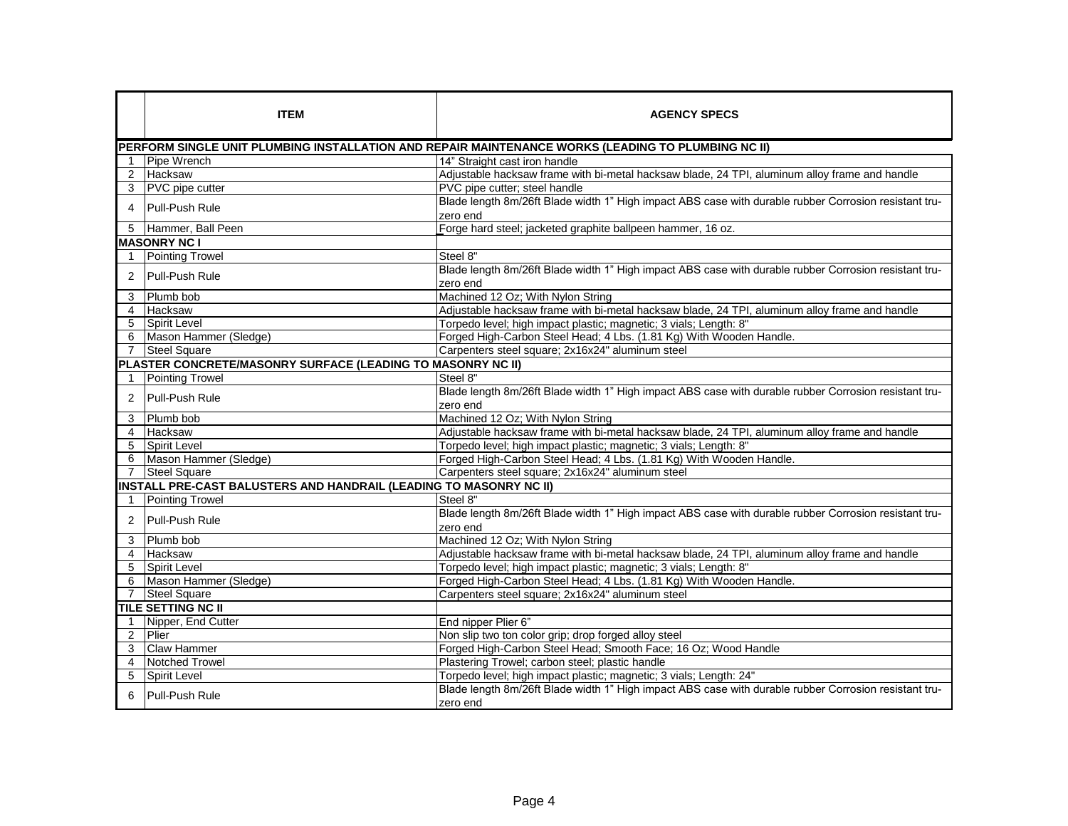|                | <b>ITEM</b>                                                        | <b>AGENCY SPECS</b>                                                                                               |
|----------------|--------------------------------------------------------------------|-------------------------------------------------------------------------------------------------------------------|
|                |                                                                    | PERFORM SINGLE UNIT PLUMBING INSTALLATION AND REPAIR MAINTENANCE WORKS (LEADING TO PLUMBING NC II)                |
|                | Pipe Wrench                                                        | 14" Straight cast iron handle                                                                                     |
| $\overline{2}$ | Hacksaw                                                            | Adjustable hacksaw frame with bi-metal hacksaw blade, 24 TPI, aluminum alloy frame and handle                     |
|                | 3 PVC pipe cutter                                                  | PVC pipe cutter; steel handle                                                                                     |
| $\overline{4}$ | Pull-Push Rule                                                     | Blade length 8m/26ft Blade width 1" High impact ABS case with durable rubber Corrosion resistant tru-<br>zero end |
|                | 5 Hammer, Ball Peen                                                | Forge hard steel; jacketed graphite ballpeen hammer, 16 oz.                                                       |
|                | <b>MASONRY NC I</b>                                                |                                                                                                                   |
|                | <b>Pointing Trowel</b>                                             | Steel 8"                                                                                                          |
| $\overline{2}$ | Pull-Push Rule                                                     | Blade length 8m/26ft Blade width 1" High impact ABS case with durable rubber Corrosion resistant tru-<br>zero end |
| 3              | Plumb bob                                                          | Machined 12 Oz; With Nylon String                                                                                 |
| $\overline{4}$ | Hacksaw                                                            | Adjustable hacksaw frame with bi-metal hacksaw blade, 24 TPI, aluminum alloy frame and handle                     |
| 5              | Spirit Level                                                       | Torpedo level; high impact plastic; magnetic; 3 vials; Length: 8"                                                 |
|                | 6 Mason Hammer (Sledge)                                            | Forged High-Carbon Steel Head; 4 Lbs. (1.81 Kg) With Wooden Handle.                                               |
| $\overline{7}$ | <b>Steel Square</b>                                                | Carpenters steel square; 2x16x24" aluminum steel                                                                  |
|                | PLASTER CONCRETE/MASONRY SURFACE (LEADING TO MASONRY NC II)        |                                                                                                                   |
|                | <b>Pointing Trowel</b>                                             | Steel 8"                                                                                                          |
| $\overline{2}$ | Pull-Push Rule                                                     | Blade length 8m/26ft Blade width 1" High impact ABS case with durable rubber Corrosion resistant tru-<br>zero end |
| 3              | Plumb bob                                                          | Machined 12 Oz; With Nylon String                                                                                 |
| $\overline{4}$ | <b>Hacksaw</b>                                                     | Adjustable hacksaw frame with bi-metal hacksaw blade, 24 TPI, aluminum alloy frame and handle                     |
| 5              | <b>Spirit Level</b>                                                | Torpedo level; high impact plastic; magnetic; 3 vials; Length: 8"                                                 |
|                | 6 Mason Hammer (Sledge)                                            | Forged High-Carbon Steel Head; 4 Lbs. (1.81 Kg) With Wooden Handle.                                               |
|                | 7 Steel Square                                                     | Carpenters steel square; 2x16x24" aluminum steel                                                                  |
|                | INSTALL PRE-CAST BALUSTERS AND HANDRAIL (LEADING TO MASONRY NC II) |                                                                                                                   |
|                | <b>Pointing Trowel</b>                                             | Steel 8"                                                                                                          |
| $\overline{2}$ | Pull-Push Rule                                                     | Blade length 8m/26ft Blade width 1" High impact ABS case with durable rubber Corrosion resistant tru-<br>zero end |
| 3              | Plumb bob                                                          | Machined 12 Oz; With Nylon String                                                                                 |
| 4              | <b>Hacksaw</b>                                                     | Adjustable hacksaw frame with bi-metal hacksaw blade, 24 TPI, aluminum alloy frame and handle                     |
| 5              | Spirit Level                                                       | Torpedo level; high impact plastic; magnetic; 3 vials; Length: 8"                                                 |
| 6              | Mason Hammer (Sledge)                                              | Forged High-Carbon Steel Head; 4 Lbs. (1.81 Kg) With Wooden Handle.                                               |
| $\overline{7}$ | Steel Square                                                       | Carpenters steel square; 2x16x24" aluminum steel                                                                  |
|                | <b>TILE SETTING NC II</b>                                          |                                                                                                                   |
|                | Nipper, End Cutter                                                 | End nipper Plier 6"                                                                                               |
| $\overline{2}$ | Plier                                                              | Non slip two ton color grip; drop forged alloy steel                                                              |
| 3              | <b>Claw Hammer</b>                                                 | Forged High-Carbon Steel Head; Smooth Face; 16 Oz; Wood Handle                                                    |
| $\overline{4}$ | <b>Notched Trowel</b>                                              | Plastering Trowel; carbon steel; plastic handle                                                                   |
| 5              | Spirit Level                                                       | Torpedo level; high impact plastic; magnetic; 3 vials; Length: 24"                                                |
|                | Pull-Push Rule                                                     | Blade length 8m/26ft Blade width 1" High impact ABS case with durable rubber Corrosion resistant tru-<br>zero end |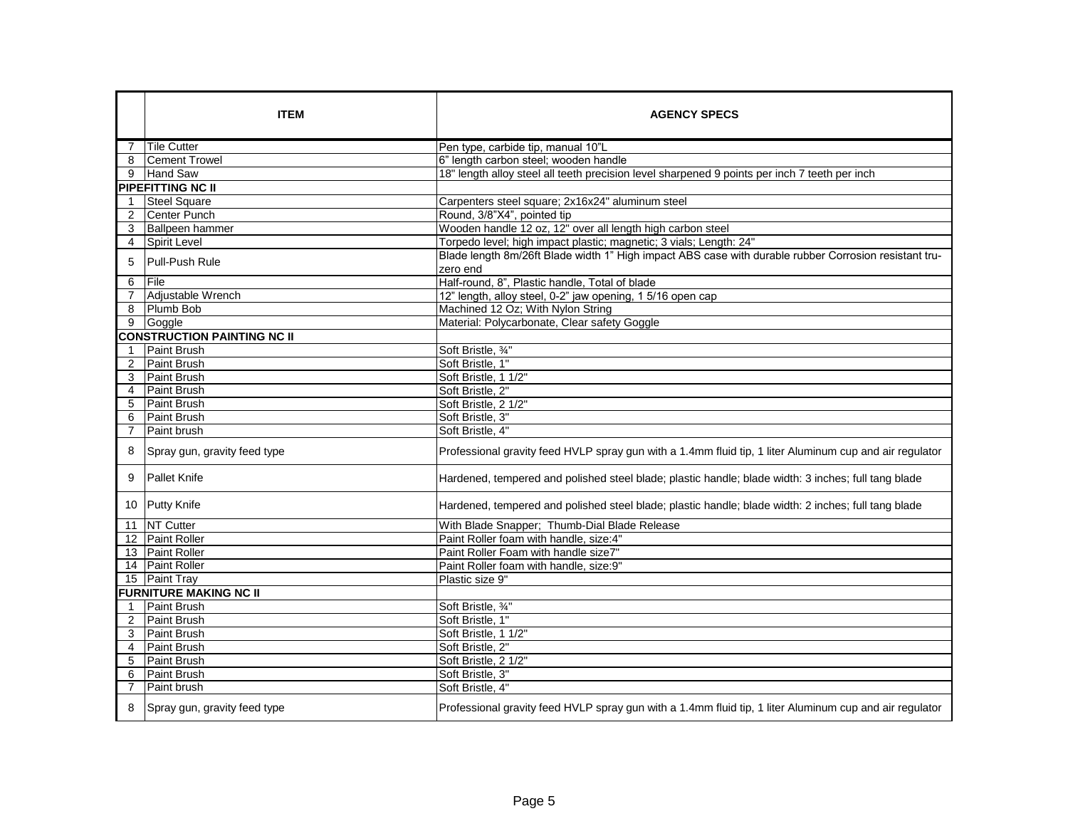|                | <b>ITEM</b>                        | <b>AGENCY SPECS</b>                                                                                               |
|----------------|------------------------------------|-------------------------------------------------------------------------------------------------------------------|
|                | Tile Cutter                        | Pen type, carbide tip, manual 10"L                                                                                |
| 8              | <b>Cement Trowel</b>               | 6" length carbon steel; wooden handle                                                                             |
|                | 9 Hand Saw                         | 18" length alloy steel all teeth precision level sharpened 9 points per inch 7 teeth per inch                     |
|                | PIPEFITTING NC II                  |                                                                                                                   |
| $\mathbf{1}$   | <b>Steel Square</b>                | Carpenters steel square; 2x16x24" aluminum steel                                                                  |
| 2              | Center Punch                       | Round, 3/8"X4", pointed tip                                                                                       |
| 3              | <b>Ballpeen hammer</b>             | Wooden handle 12 oz, 12" over all length high carbon steel                                                        |
|                | 4 Spirit Level                     | Torpedo level; high impact plastic; magnetic; 3 vials; Length: 24"                                                |
| 5              | Pull-Push Rule                     | Blade length 8m/26ft Blade width 1" High impact ABS case with durable rubber Corrosion resistant tru-<br>zero end |
| 6              | File                               | Half-round, 8", Plastic handle, Total of blade                                                                    |
| $\overline{7}$ | Adjustable Wrench                  | 12" length, alloy steel, 0-2" jaw opening, 1 5/16 open cap                                                        |
| 8              | Plumb Bob                          | Machined 12 Oz; With Nylon String                                                                                 |
| 9              | Goggle                             | Material: Polycarbonate, Clear safety Goggle                                                                      |
|                | <b>CONSTRUCTION PAINTING NC II</b> |                                                                                                                   |
| 1              | Paint Brush                        | Soft Bristle, 3/4"                                                                                                |
| 2              | Paint Brush                        | Soft Bristle, 1"                                                                                                  |
| 3              | Paint Brush                        | Soft Bristle, 1 1/2"                                                                                              |
| 4              | Paint Brush                        | Soft Bristle, 2"                                                                                                  |
| 5              | Paint Brush                        | Soft Bristle, 2 1/2"                                                                                              |
| 6              | <b>Paint Brush</b>                 | Soft Bristle, 3"                                                                                                  |
| $\overline{7}$ | Paint brush                        | Soft Bristle, 4"                                                                                                  |
| 8              | Spray gun, gravity feed type       | Professional gravity feed HVLP spray gun with a 1.4mm fluid tip, 1 liter Aluminum cup and air regulator           |
| 9              | <b>Pallet Knife</b>                | Hardened, tempered and polished steel blade; plastic handle; blade width: 3 inches; full tang blade               |
|                | 10 Putty Knife                     | Hardened, tempered and polished steel blade; plastic handle; blade width: 2 inches; full tang blade               |
|                | 11 NT Cutter                       | With Blade Snapper; Thumb-Dial Blade Release                                                                      |
|                | 12 Paint Roller                    | Paint Roller foam with handle, size:4"                                                                            |
|                | 13 Paint Roller                    | Paint Roller Foam with handle size7"                                                                              |
|                | 14 Paint Roller                    | Paint Roller foam with handle, size:9"                                                                            |
|                | 15 Paint Tray                      | Plastic size 9"                                                                                                   |
|                | <b>FURNITURE MAKING NC II</b>      |                                                                                                                   |
|                | Paint Brush                        | Soft Bristle, 3/4"                                                                                                |
| 2              | Paint Brush                        | Soft Bristle, 1"                                                                                                  |
| 3              | Paint Brush                        | Soft Bristle, 1 1/2"                                                                                              |
| 4              | <b>Paint Brush</b>                 | Soft Bristle, 2"                                                                                                  |
| 5              | <b>Paint Brush</b>                 | Soft Bristle, 2 1/2"                                                                                              |
| 6              | <b>Paint Brush</b>                 | Soft Bristle, 3"                                                                                                  |
|                | Paint brush                        | Soft Bristle, 4"                                                                                                  |
| 8              | Spray gun, gravity feed type       | Professional gravity feed HVLP spray gun with a 1.4mm fluid tip, 1 liter Aluminum cup and air regulator           |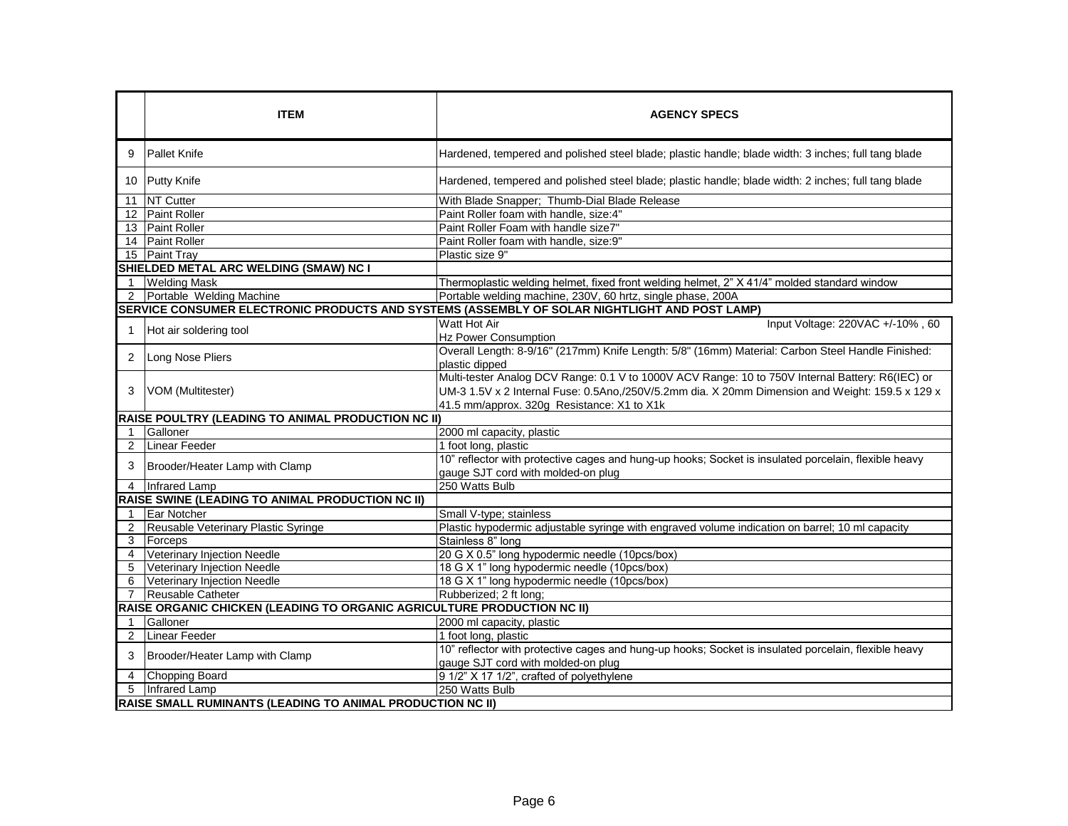|                | <b>ITEM</b>                                                             | <b>AGENCY SPECS</b>                                                                                                                                                                                                                               |
|----------------|-------------------------------------------------------------------------|---------------------------------------------------------------------------------------------------------------------------------------------------------------------------------------------------------------------------------------------------|
| 9              | <b>Pallet Knife</b>                                                     | Hardened, tempered and polished steel blade; plastic handle; blade width: 3 inches; full tang blade                                                                                                                                               |
|                | 10 Putty Knife                                                          | Hardened, tempered and polished steel blade; plastic handle; blade width: 2 inches; full tang blade                                                                                                                                               |
| 11             | NT Cutter                                                               | With Blade Snapper; Thumb-Dial Blade Release                                                                                                                                                                                                      |
|                | 12 Paint Roller                                                         | Paint Roller foam with handle, size:4"                                                                                                                                                                                                            |
|                | 13 Paint Roller                                                         | Paint Roller Foam with handle size7"                                                                                                                                                                                                              |
|                | 14 Paint Roller                                                         | Paint Roller foam with handle, size:9"                                                                                                                                                                                                            |
|                | 15 Paint Tray                                                           | Plastic size 9"                                                                                                                                                                                                                                   |
|                | SHIELDED METAL ARC WELDING (SMAW) NC I                                  |                                                                                                                                                                                                                                                   |
| $\mathbf{1}$   | <b>Welding Mask</b>                                                     | Thermoplastic welding helmet, fixed front welding helmet, 2" X 41/4" molded standard window                                                                                                                                                       |
| 2              | Portable Welding Machine                                                | Portable welding machine, 230V, 60 hrtz, single phase, 200A                                                                                                                                                                                       |
|                |                                                                         | SERVICE CONSUMER ELECTRONIC PRODUCTS AND SYSTEMS (ASSEMBLY OF SOLAR NIGHTLIGHT AND POST LAMP)                                                                                                                                                     |
|                | Hot air soldering tool                                                  | Watt Hot Air<br>Input Voltage: 220VAC +/-10%, 60<br><b>Hz Power Consumption</b>                                                                                                                                                                   |
| 2              | Long Nose Pliers                                                        | Overall Length: 8-9/16" (217mm) Knife Length: 5/8" (16mm) Material: Carbon Steel Handle Finished:<br>plastic dipped                                                                                                                               |
| 3              | VOM (Multitester)                                                       | Multi-tester Analog DCV Range: 0.1 V to 1000V ACV Range: 10 to 750V Internal Battery: R6(IEC) or<br>UM-3 1.5V x 2 Internal Fuse: 0.5Ano,/250V/5.2mm dia. X 20mm Dimension and Weight: 159.5 x 129 x<br>41.5 mm/approx. 320g Resistance: X1 to X1k |
|                | RAISE POULTRY (LEADING TO ANIMAL PRODUCTION NC II)                      |                                                                                                                                                                                                                                                   |
|                | Galloner                                                                | 2000 ml capacity, plastic                                                                                                                                                                                                                         |
| 2              | <b>Linear Feeder</b>                                                    | 1 foot long, plastic                                                                                                                                                                                                                              |
| 3              | Brooder/Heater Lamp with Clamp                                          | 10" reflector with protective cages and hung-up hooks; Socket is insulated porcelain, flexible heavy<br>gauge SJT cord with molded-on plug                                                                                                        |
| $\overline{4}$ | Infrared Lamp                                                           | 250 Watts Bulb                                                                                                                                                                                                                                    |
|                | <b>RAISE SWINE (LEADING TO ANIMAL PRODUCTION NC II)</b>                 |                                                                                                                                                                                                                                                   |
|                | Ear Notcher                                                             | Small V-type; stainless                                                                                                                                                                                                                           |
| $\overline{2}$ | Reusable Veterinary Plastic Syringe                                     | Plastic hypodermic adjustable syringe with engraved volume indication on barrel; 10 ml capacity                                                                                                                                                   |
| 3              | Forceps                                                                 | Stainless 8" long                                                                                                                                                                                                                                 |
| 4              | Veterinary Injection Needle                                             | 20 G X 0.5" long hypodermic needle (10pcs/box)                                                                                                                                                                                                    |
| 5              | Veterinary Injection Needle                                             | 18 G X 1" long hypodermic needle (10pcs/box)                                                                                                                                                                                                      |
| 6              | Veterinary Injection Needle                                             | 18 G X 1" long hypodermic needle (10pcs/box)                                                                                                                                                                                                      |
|                | Reusable Catheter                                                       | Rubberized; 2 ft long;                                                                                                                                                                                                                            |
|                | RAISE ORGANIC CHICKEN (LEADING TO ORGANIC AGRICULTURE PRODUCTION NC II) |                                                                                                                                                                                                                                                   |
| $\mathbf 1$    | Galloner                                                                | 2000 ml capacity, plastic                                                                                                                                                                                                                         |
| 2              | <b>Linear Feeder</b>                                                    | 1 foot long, plastic                                                                                                                                                                                                                              |
| 3              | Brooder/Heater Lamp with Clamp                                          | 10" reflector with protective cages and hung-up hooks; Socket is insulated porcelain, flexible heavy<br>gauge SJT cord with molded-on plug                                                                                                        |
| 4              | Chopping Board                                                          | 9 1/2" X 17 1/2", crafted of polyethylene                                                                                                                                                                                                         |
| 5              | Infrared Lamp                                                           | 250 Watts Bulb                                                                                                                                                                                                                                    |
|                | <b>RAISE SMALL RUMINANTS (LEADING TO ANIMAL PRODUCTION NC II)</b>       |                                                                                                                                                                                                                                                   |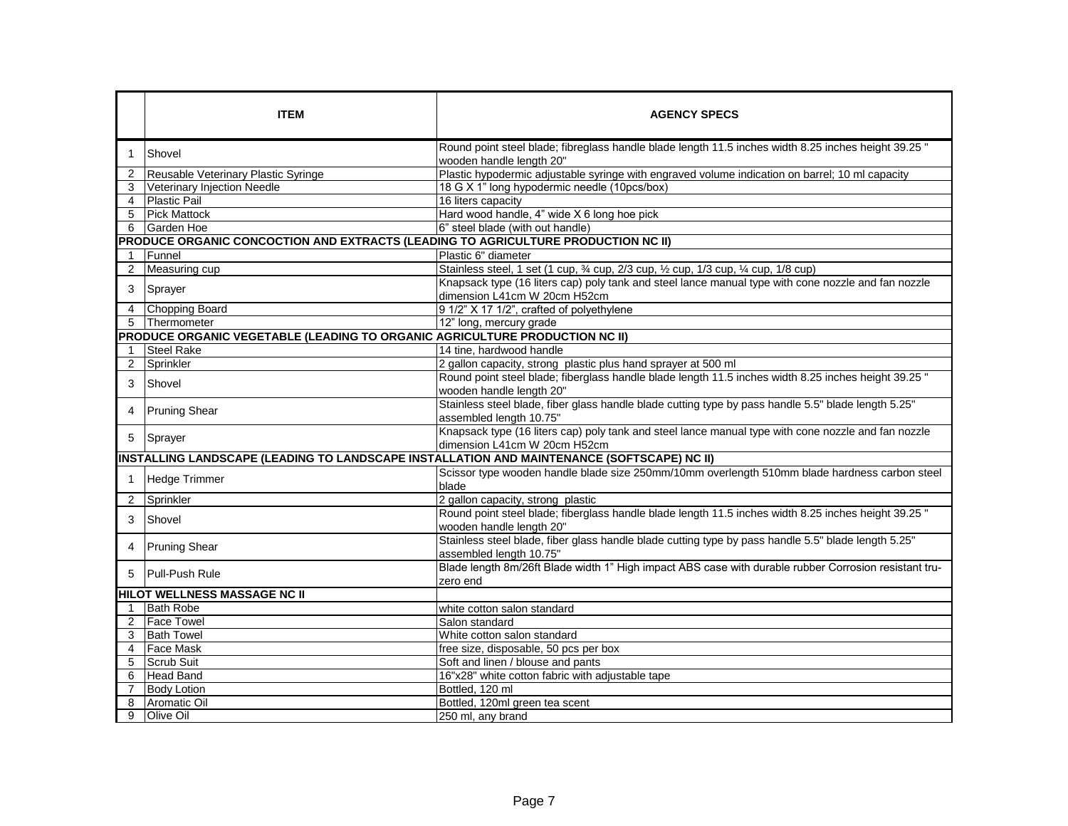|                         | <b>ITEM</b>                                                                                | <b>AGENCY SPECS</b>                                                                                                                 |
|-------------------------|--------------------------------------------------------------------------------------------|-------------------------------------------------------------------------------------------------------------------------------------|
|                         | Shovel                                                                                     | Round point steel blade; fibreglass handle blade length 11.5 inches width 8.25 inches height 39.25 "<br>wooden handle length 20"    |
| 2                       | Reusable Veterinary Plastic Syringe                                                        | Plastic hypodermic adjustable syringe with engraved volume indication on barrel; 10 ml capacity                                     |
| 3                       | Veterinary Injection Needle                                                                | 18 G X 1" long hypodermic needle (10pcs/box)                                                                                        |
| 4                       | <b>Plastic Pail</b>                                                                        | 16 liters capacity                                                                                                                  |
| 5                       | <b>Pick Mattock</b>                                                                        | Hard wood handle, 4" wide X 6 long hoe pick                                                                                         |
| 6                       | Garden Hoe                                                                                 | 6" steel blade (with out handle)                                                                                                    |
|                         | PRODUCE ORGANIC CONCOCTION AND EXTRACTS (LEADING TO AGRICULTURE PRODUCTION NC II)          |                                                                                                                                     |
| $\mathbf{1}$            | Funnel                                                                                     | Plastic 6" diameter                                                                                                                 |
| 2                       | Measuring cup                                                                              | Stainless steel, 1 set (1 cup, 3⁄4 cup, 2/3 cup, 1/2 cup, 1/3 cup, 1/4 cup, 1/8 cup)                                                |
| 3                       | Sprayer                                                                                    | Knapsack type (16 liters cap) poly tank and steel lance manual type with cone nozzle and fan nozzle<br>dimension L41cm W 20cm H52cm |
| 4                       | Chopping Board                                                                             | 9 1/2" X 17 1/2", crafted of polyethylene                                                                                           |
| 5                       | Thermometer                                                                                | 12" long, mercury grade                                                                                                             |
|                         | PRODUCE ORGANIC VEGETABLE (LEADING TO ORGANIC AGRICULTURE PRODUCTION NC II)                |                                                                                                                                     |
| $\mathbf 1$             | <b>Steel Rake</b>                                                                          | 14 tine, hardwood handle                                                                                                            |
| 2                       | Sprinkler                                                                                  | 2 gallon capacity, strong plastic plus hand sprayer at 500 ml                                                                       |
| 3                       | Shovel                                                                                     | Round point steel blade; fiberglass handle blade length 11.5 inches width 8.25 inches height 39.25 "<br>wooden handle length 20"    |
| 4                       | <b>Pruning Shear</b>                                                                       | Stainless steel blade, fiber glass handle blade cutting type by pass handle 5.5" blade length 5.25"<br>assembled length 10.75"      |
| 5                       | Sprayer                                                                                    | Knapsack type (16 liters cap) poly tank and steel lance manual type with cone nozzle and fan nozzle<br>dimension L41cm W 20cm H52cm |
|                         | INSTALLING LANDSCAPE (LEADING TO LANDSCAPE INSTALLATION AND MAINTENANCE (SOFTSCAPE) NC II) |                                                                                                                                     |
|                         | Hedge Trimmer                                                                              | Scissor type wooden handle blade size 250mm/10mm overlength 510mm blade hardness carbon steel<br>blade                              |
| 2                       | Sprinkler                                                                                  | 2 gallon capacity, strong plastic                                                                                                   |
| 3                       | Shovel                                                                                     | Round point steel blade; fiberglass handle blade length 11.5 inches width 8.25 inches height 39.25 "<br>wooden handle length 20"    |
| 4                       | <b>Pruning Shear</b>                                                                       | Stainless steel blade, fiber glass handle blade cutting type by pass handle 5.5" blade length 5.25"<br>assembled length 10.75"      |
| 5                       | Pull-Push Rule                                                                             | Blade length 8m/26ft Blade width 1" High impact ABS case with durable rubber Corrosion resistant tru-<br>zero end                   |
|                         | HILOT WELLNESS MASSAGE NC II                                                               |                                                                                                                                     |
| $\overline{\mathbf{1}}$ | <b>Bath Robe</b>                                                                           | white cotton salon standard                                                                                                         |
| 2                       | <b>Face Towel</b>                                                                          | Salon standard                                                                                                                      |
| 3                       | <b>Bath Towel</b>                                                                          | White cotton salon standard                                                                                                         |
| 4                       | <b>Face Mask</b>                                                                           | free size, disposable, 50 pcs per box                                                                                               |
| 5                       | Scrub Suit                                                                                 | Soft and linen / blouse and pants                                                                                                   |
| 6                       | <b>Head Band</b>                                                                           | 16"x28" white cotton fabric with adjustable tape                                                                                    |
| $\overline{7}$          | <b>Body Lotion</b>                                                                         | Bottled, 120 ml                                                                                                                     |
| 8                       | Aromatic Oil                                                                               | Bottled, 120ml green tea scent                                                                                                      |
| 9                       | Olive Oil                                                                                  | 250 ml, any brand                                                                                                                   |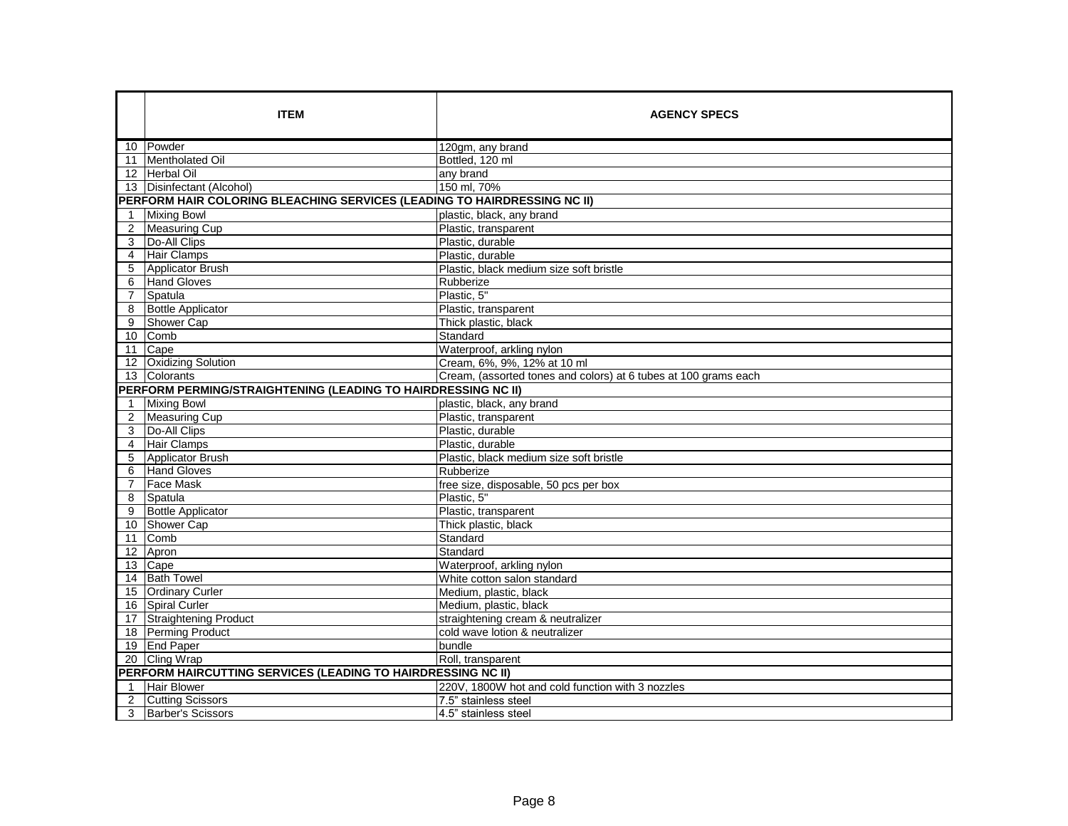|                | <b>ITEM</b>                                                              | <b>AGENCY SPECS</b>                                             |
|----------------|--------------------------------------------------------------------------|-----------------------------------------------------------------|
|                | 10 Powder                                                                | 120gm, any brand                                                |
|                | 11 Mentholated Oil                                                       | Bottled, 120 ml                                                 |
|                | 12 Herbal Oil                                                            | any brand                                                       |
|                | 13   Disinfectant (Alcohol)                                              | 150 ml, 70%                                                     |
|                | PERFORM HAIR COLORING BLEACHING SERVICES (LEADING TO HAIRDRESSING NC II) |                                                                 |
| $\mathbf 1$    | <b>Mixing Bowl</b>                                                       | plastic, black, any brand                                       |
| 2              | <b>Measuring Cup</b>                                                     | Plastic, transparent                                            |
| 3              | Do-All Clips                                                             | Plastic, durable                                                |
| 4              | <b>Hair Clamps</b>                                                       | Plastic, durable                                                |
| 5              | Applicator Brush                                                         | Plastic, black medium size soft bristle                         |
| 6              | <b>Hand Gloves</b>                                                       | Rubberize                                                       |
| $\overline{7}$ | Spatula                                                                  | Plastic, 5"                                                     |
| 8              | <b>Bottle Applicator</b>                                                 | Plastic, transparent                                            |
| 9              | Shower Cap                                                               | Thick plastic, black                                            |
|                | 10 Comb                                                                  | Standard                                                        |
| 11             | Cape                                                                     | Waterproof, arkling nylon                                       |
|                | 12 Oxidizing Solution                                                    | Cream, 6%, 9%, 12% at 10 ml                                     |
|                | 13 Colorants                                                             | Cream, (assorted tones and colors) at 6 tubes at 100 grams each |
|                | PERFORM PERMING/STRAIGHTENING (LEADING TO HAIRDRESSING NC II)            |                                                                 |
| $\mathbf{1}$   | <b>Mixing Bowl</b>                                                       | plastic, black, any brand                                       |
| 2              | Measuring Cup                                                            | Plastic, transparent                                            |
| 3              | Do-All Clips                                                             | Plastic, durable                                                |
| $\overline{4}$ | Hair Clamps                                                              | Plastic, durable                                                |
| 5              | Applicator Brush                                                         | Plastic, black medium size soft bristle                         |
| 6              | <b>Hand Gloves</b>                                                       | Rubberize                                                       |
| 7              | <b>Face Mask</b>                                                         | free size, disposable, 50 pcs per box                           |
| 8              | Spatula                                                                  | Plastic, 5"                                                     |
| 9              | Bottle Applicator                                                        | Plastic, transparent                                            |
|                | 10 Shower Cap                                                            | Thick plastic, black                                            |
| 11             | Comb                                                                     | Standard                                                        |
|                | 12 Apron                                                                 | Standard                                                        |
|                | 13 Cape                                                                  | Waterproof, arkling nylon                                       |
|                | 14 Bath Towel                                                            | White cotton salon standard                                     |
|                | 15 Ordinary Curler                                                       | Medium, plastic, black                                          |
|                | 16 Spiral Curler                                                         | Medium, plastic, black                                          |
|                | 17 Straightening Product                                                 | straightening cream & neutralizer                               |
|                | 18 Perming Product                                                       | cold wave lotion & neutralizer                                  |
|                | 19 End Paper                                                             | bundle                                                          |
|                | 20 Cling Wrap                                                            | Roll, transparent                                               |
|                | PERFORM HAIRCUTTING SERVICES (LEADING TO HAIRDRESSING NC II)             |                                                                 |
| $\mathbf 1$    | <b>Hair Blower</b>                                                       | 220V, 1800W hot and cold function with 3 nozzles                |
| 2              | <b>Cutting Scissors</b>                                                  | 7.5" stainless steel                                            |
| 3              | Barber's Scissors                                                        | 4.5" stainless steel                                            |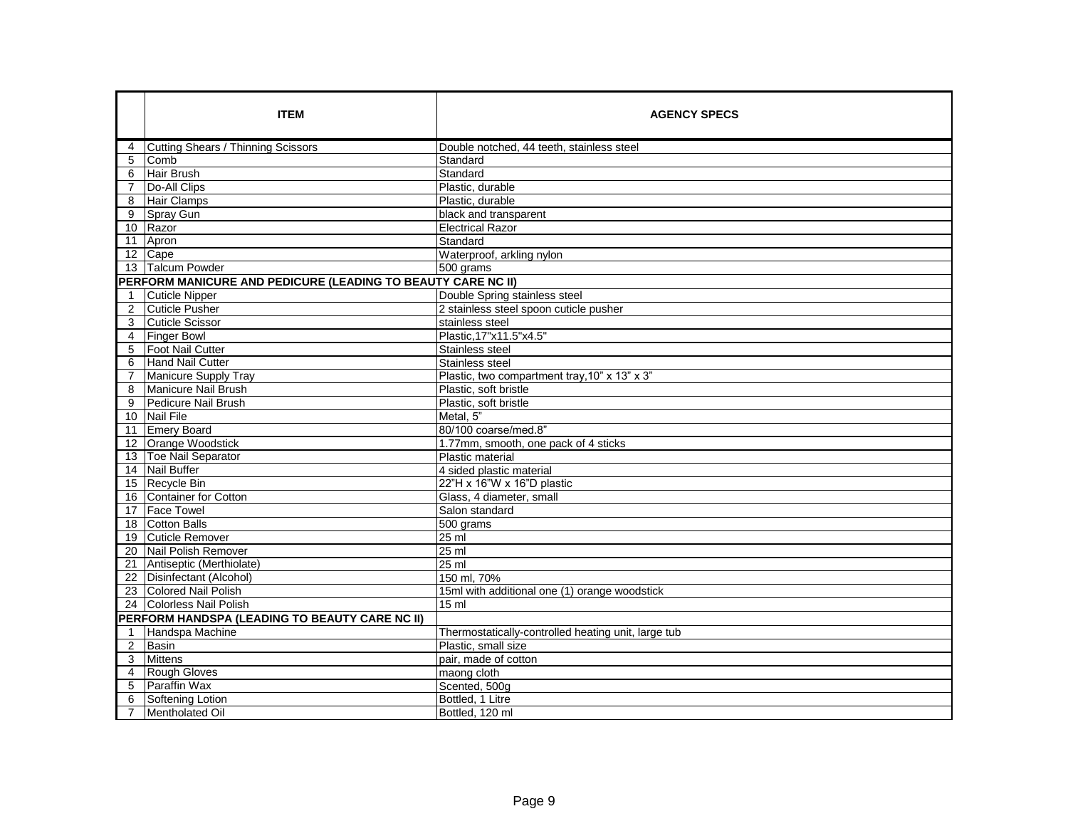|                 | <b>ITEM</b>                                                  | <b>AGENCY SPECS</b>                                 |
|-----------------|--------------------------------------------------------------|-----------------------------------------------------|
| 4               | Cutting Shears / Thinning Scissors                           | Double notched, 44 teeth, stainless steel           |
| 5               | Comb                                                         | Standard                                            |
| 6               | Hair Brush                                                   | Standard                                            |
| $\overline{7}$  | Do-All Clips                                                 | Plastic, durable                                    |
| 8               | <b>Hair Clamps</b>                                           | Plastic, durable                                    |
| 9               | Spray Gun                                                    | black and transparent                               |
| 10 <sup>°</sup> | Razor                                                        | <b>Electrical Razor</b>                             |
|                 | 11 Apron                                                     | Standard                                            |
|                 | 12 Cape                                                      | Waterproof, arkling nylon                           |
|                 | 13 Talcum Powder                                             | 500 grams                                           |
|                 | PERFORM MANICURE AND PEDICURE (LEADING TO BEAUTY CARE NC II) |                                                     |
| $\overline{1}$  | <b>Cuticle Nipper</b>                                        | Double Spring stainless steel                       |
| $\overline{2}$  | <b>Cuticle Pusher</b>                                        | 2 stainless steel spoon cuticle pusher              |
| 3               | <b>Cuticle Scissor</b>                                       | stainless steel                                     |
| 4               | <b>Finger Bowl</b>                                           | Plastic, 17"x11.5"x4.5"                             |
| 5               | <b>Foot Nail Cutter</b>                                      | Stainless steel                                     |
| 6               | Hand Nail Cutter                                             | Stainless steel                                     |
| $\overline{7}$  | Manicure Supply Tray                                         | Plastic, two compartment tray, 10" x 13" x 3"       |
| 8               | <b>Manicure Nail Brush</b>                                   | Plastic, soft bristle                               |
| 9               | Pedicure Nail Brush                                          | Plastic, soft bristle                               |
|                 | 10 Nail File                                                 | Metal, 5"                                           |
| 11              | <b>Emery Board</b>                                           | 80/100 coarse/med.8"                                |
|                 | 12 Orange Woodstick                                          | 1.77mm, smooth, one pack of 4 sticks                |
|                 | 13 Toe Nail Separator                                        | Plastic material                                    |
|                 | 14 Nail Buffer                                               | 4 sided plastic material                            |
|                 | 15 Recycle Bin                                               | 22"H x 16"W x 16"D plastic                          |
| 16              | <b>Container for Cotton</b>                                  | Glass, 4 diameter, small                            |
| 17              | <b>Face Towel</b>                                            | Salon standard                                      |
|                 | 18 Cotton Balls                                              | 500 grams                                           |
|                 | 19 Cuticle Remover                                           | 25 ml                                               |
|                 | 20 Nail Polish Remover                                       | 25 ml                                               |
|                 | 21 Antiseptic (Merthiolate)                                  | 25 ml                                               |
|                 | 22 Disinfectant (Alcohol)                                    | 150 ml, 70%                                         |
| 23              | <b>Colored Nail Polish</b>                                   | 15ml with additional one (1) orange woodstick       |
|                 | 24 Colorless Nail Polish                                     | 15 ml                                               |
|                 | PERFORM HANDSPA (LEADING TO BEAUTY CARE NC II)               |                                                     |
| $\overline{1}$  | Handspa Machine                                              | Thermostatically-controlled heating unit, large tub |
| 2               | Basin                                                        | Plastic, small size                                 |
| 3               | <b>Mittens</b>                                               | pair, made of cotton                                |
| $\overline{4}$  | Rough Gloves                                                 | maong cloth                                         |
| 5               | Paraffin Wax                                                 | Scented, 500g                                       |
| 6               | Softening Lotion                                             | Bottled, 1 Litre                                    |
| $\overline{7}$  | <b>Mentholated Oil</b>                                       | Bottled, 120 ml                                     |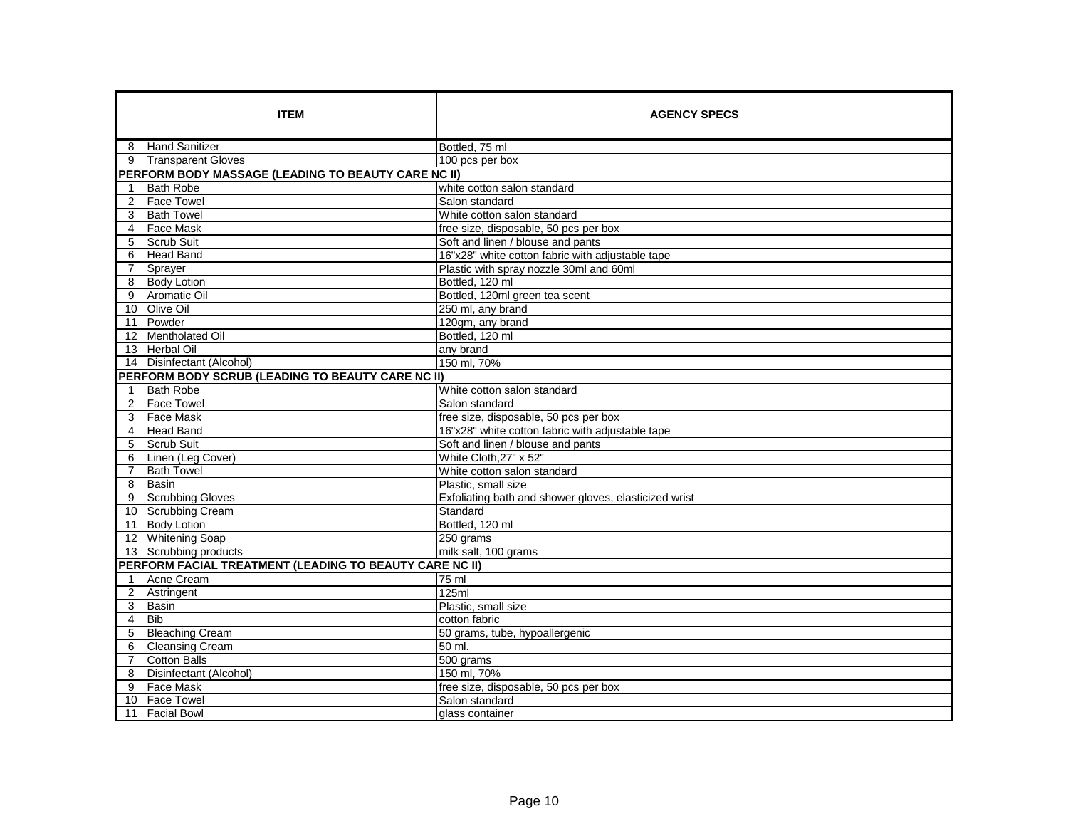|                | <b>ITEM</b>                                              | <b>AGENCY SPECS</b>                                   |
|----------------|----------------------------------------------------------|-------------------------------------------------------|
|                | 8 Hand Sanitizer                                         | Bottled, 75 ml                                        |
| 9              | <b>Transparent Gloves</b>                                | 100 pcs per box                                       |
|                | PERFORM BODY MASSAGE (LEADING TO BEAUTY CARE NC II)      |                                                       |
| 1              | <b>Bath Robe</b>                                         | white cotton salon standard                           |
| 2              | <b>Face Towel</b>                                        | Salon standard                                        |
| 3              | <b>Bath Towel</b>                                        | White cotton salon standard                           |
| $\overline{4}$ | <b>Face Mask</b>                                         | free size, disposable, 50 pcs per box                 |
| 5              | Scrub Suit                                               | Soft and linen / blouse and pants                     |
| 6              | <b>Head Band</b>                                         | 16"x28" white cotton fabric with adiustable tape      |
| $\overline{7}$ | Sprayer                                                  | Plastic with spray nozzle 30ml and 60ml               |
| 8              | <b>Body Lotion</b>                                       | Bottled, 120 ml                                       |
| 9              | Aromatic Oil                                             | Bottled, 120ml green tea scent                        |
|                | 10 Olive Oil                                             | 250 ml, any brand                                     |
|                | 11 Powder                                                | 120gm, any brand                                      |
|                | 12 Mentholated Oil                                       | Bottled, 120 ml                                       |
|                | 13 Herbal Oil                                            | any brand                                             |
|                | 14 Disinfectant (Alcohol)                                | 150 ml, 70%                                           |
|                | <b>PERFORM BODY SCRUB (LEADING TO BEAUTY CARE NC II)</b> |                                                       |
|                | <b>Bath Robe</b>                                         | White cotton salon standard                           |
|                | 2 Face Towel                                             | Salon standard                                        |
|                | 3 Face Mask                                              | free size, disposable, 50 pcs per box                 |
|                | 4 Head Band                                              | 16"x28" white cotton fabric with adjustable tape      |
| 5              | Scrub Suit                                               | Soft and linen / blouse and pants                     |
| 6              | Linen (Leg Cover)                                        | White Cloth, 27" x 52"                                |
| $\overline{7}$ | <b>Bath Towel</b>                                        | White cotton salon standard                           |
| 8              | <b>Basin</b>                                             | Plastic, small size                                   |
| 9              | Scrubbing Gloves                                         | Exfoliating bath and shower gloves, elasticized wrist |
|                | 10 Scrubbing Cream                                       | Standard                                              |
|                | 11 Body Lotion                                           | Bottled, 120 ml                                       |
|                | 12 Whitening Soap                                        | 250 grams                                             |
|                | 13 Scrubbing products                                    | milk salt, 100 grams                                  |
|                | PERFORM FACIAL TREATMENT (LEADING TO BEAUTY CARE NC II)  |                                                       |
| 1              | Acne Cream                                               | 75 ml                                                 |
| 2              | Astringent                                               | 125ml                                                 |
| 3              | <b>Basin</b>                                             | Plastic, small size                                   |
| $\overline{4}$ | <b>Bib</b>                                               | cotton fabric                                         |
| 5              | <b>Bleaching Cream</b>                                   | 50 grams, tube, hypoallergenic                        |
| 6              | <b>Cleansing Cream</b>                                   | 50 ml.                                                |
| $\overline{7}$ | Cotton Balls                                             | $\overline{500}$ grams                                |
| 8              | Disinfectant (Alcohol)                                   | 150 ml, 70%                                           |
| 9              | <b>Face Mask</b>                                         | free size, disposable, 50 pcs per box                 |
|                | 10 Face Towel                                            | Salon standard                                        |
|                | 11 Facial Bowl                                           | glass container                                       |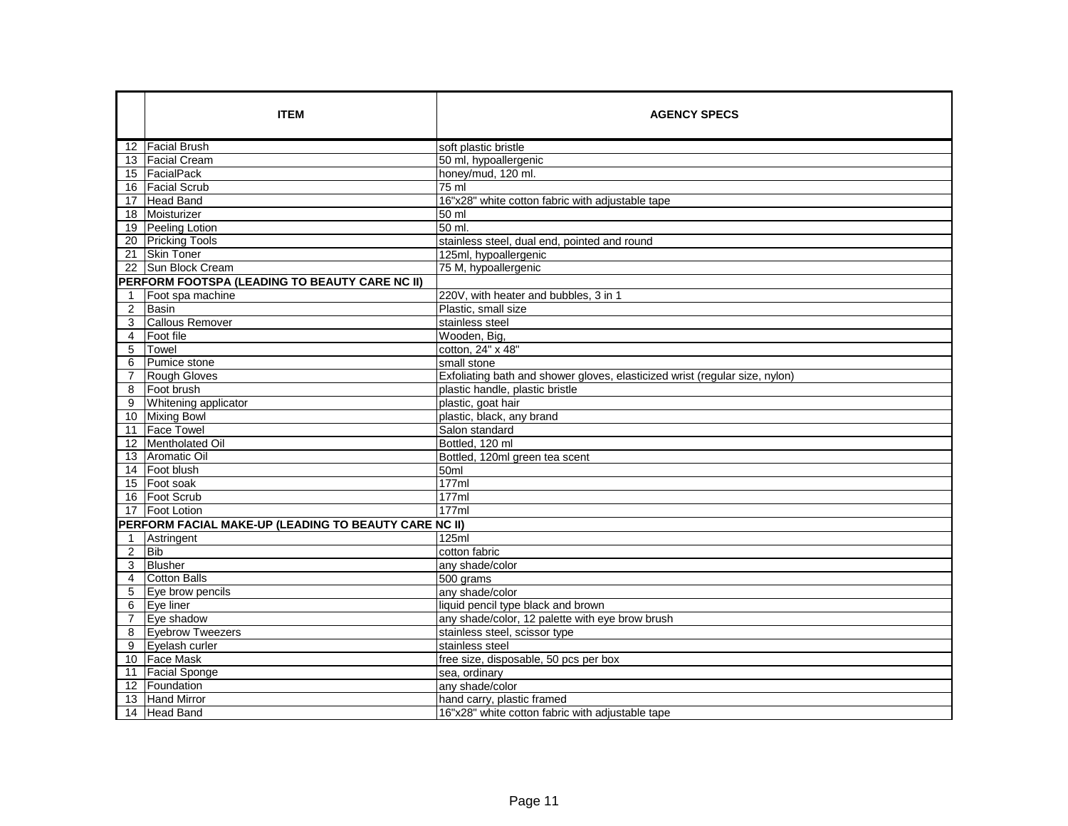|                               | <b>ITEM</b><br>12 Facial Brush<br>13   Facial Cream<br>15 FacialPack<br>16   Facial Scrub<br>17 Head Band  | <b>AGENCY SPECS</b><br>soft plastic bristle<br>50 ml, hypoallergenic<br>honey/mud, 120 ml.<br>75 ml<br>16"x28" white cotton fabric with adjustable tape           |
|-------------------------------|------------------------------------------------------------------------------------------------------------|-------------------------------------------------------------------------------------------------------------------------------------------------------------------|
| 21                            | 18 Moisturizer<br>19 Peeling Lotion<br>20 Pricking Tools<br><b>Skin Toner</b>                              | 50 ml<br>50 ml.<br>stainless steel, dual end, pointed and round<br>125ml, hypoallergenic                                                                          |
| $\overline{2}$                | 22 Sun Block Cream<br>PERFORM FOOTSPA (LEADING TO BEAUTY CARE NC II)<br>Foot spa machine<br>Basin          | 75 M, hypoallergenic<br>220V, with heater and bubbles, 3 in 1<br>Plastic, small size                                                                              |
| 3<br>$\overline{4}$<br>5<br>6 | <b>Callous Remover</b><br><b>Foot file</b><br>Towel<br>Pumice stone                                        | stainless steel<br>Wooden, Big,<br>cotton, 24" x 48"<br>small stone                                                                                               |
| $\overline{7}$<br>8<br>9      | Rough Gloves<br>Foot brush<br>Whitening applicator<br>10 Mixing Bowl                                       | Exfoliating bath and shower gloves, elasticized wrist (regular size, nylon)<br>plastic handle, plastic bristle<br>plastic, goat hair<br>plastic, black, any brand |
|                               | 11 Face Towel<br>12 Mentholated Oil<br>13 Aromatic Oil<br>14 Foot blush                                    | Salon standard<br>Bottled, 120 ml<br>Bottled, 120ml green tea scent<br>50ml                                                                                       |
|                               | 15 Foot soak<br>16   Foot Scrub<br>17 Foot Lotion<br>PERFORM FACIAL MAKE-UP (LEADING TO BEAUTY CARE NC II) | 177ml<br>177ml<br>177ml                                                                                                                                           |
| -1<br>$\overline{2}$<br>3     | Astringent<br>Bib<br>Blusher                                                                               | 125ml<br>cotton fabric<br>any shade/color                                                                                                                         |
| 4<br>5<br>$\overline{7}$      | <b>Cotton Balls</b><br>Eye brow pencils<br>6 Eye liner<br>Eye shadow                                       | 500 grams<br>any shade/color<br>liquid pencil type black and brown<br>any shade/color, 12 palette with eye brow brush                                             |
| 8                             | <b>Eyebrow Tweezers</b><br>9 Eyelash curler<br>10 Face Mask<br>11 Facial Sponge                            | stainless steel, scissor type<br>stainless steel<br>free size, disposable, 50 pcs per box<br>sea, ordinary                                                        |
|                               | 12 Foundation<br>13 Hand Mirror<br>14 Head Band                                                            | any shade/color<br>hand carry, plastic framed<br>16"x28" white cotton fabric with adjustable tape                                                                 |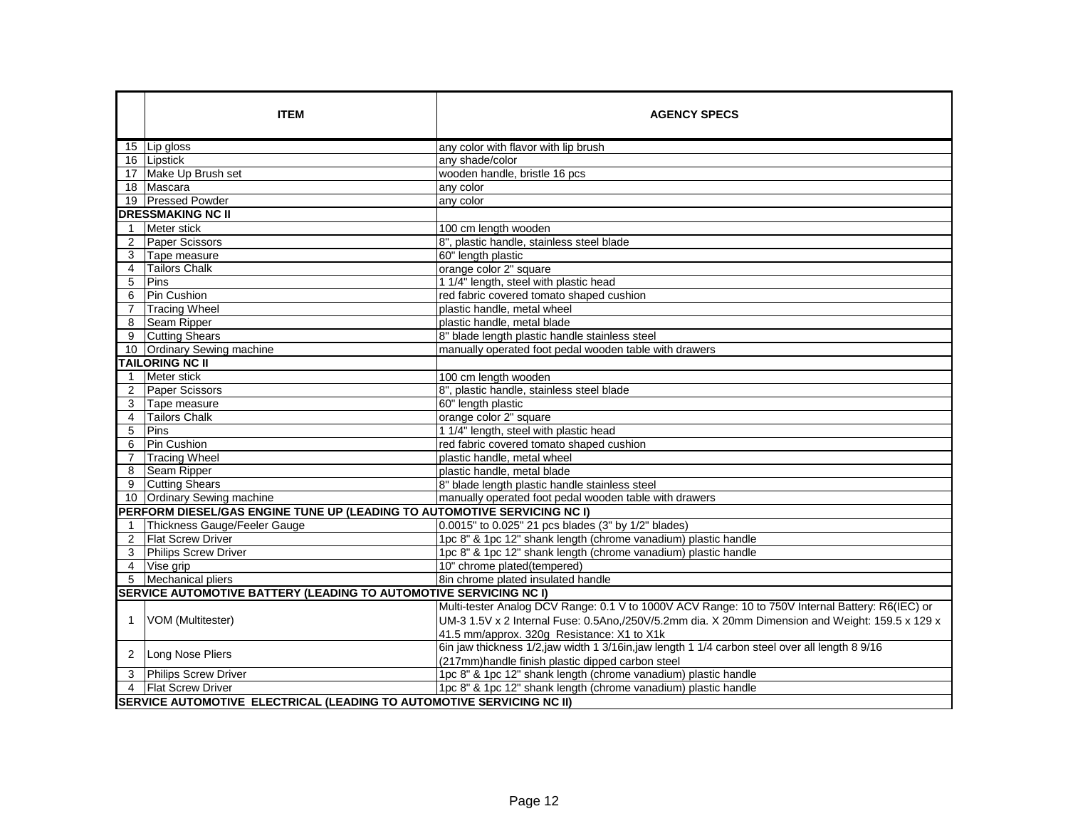|                | <b>ITEM</b>                                                              | <b>AGENCY SPECS</b>                                                                              |
|----------------|--------------------------------------------------------------------------|--------------------------------------------------------------------------------------------------|
|                | 15 Lip gloss                                                             | any color with flavor with lip brush                                                             |
|                | 16 Lipstick                                                              | any shade/color                                                                                  |
|                | 17 Make Up Brush set                                                     | wooden handle, bristle 16 pcs                                                                    |
|                | 18 Mascara                                                               | any color                                                                                        |
|                | 19 Pressed Powder                                                        | any color                                                                                        |
|                | <b>DRESSMAKING NC II</b>                                                 |                                                                                                  |
| $\mathbf{1}$   | Meter stick                                                              | 100 cm length wooden                                                                             |
| 2              | Paper Scissors                                                           | 8", plastic handle, stainless steel blade                                                        |
| 3              | Tape measure                                                             | 60" length plastic                                                                               |
| $\overline{4}$ | <b>Tailors Chalk</b>                                                     | orange color 2" square                                                                           |
| 5              | Pins                                                                     | 1 1/4" length, steel with plastic head                                                           |
| 6              | Pin Cushion                                                              | red fabric covered tomato shaped cushion                                                         |
| 7              | <b>Tracing Wheel</b>                                                     | plastic handle, metal wheel                                                                      |
| 8              | Seam Ripper                                                              | plastic handle, metal blade                                                                      |
| 9              | <b>Cutting Shears</b>                                                    | 8" blade length plastic handle stainless steel                                                   |
|                | 10 Ordinary Sewing machine                                               | manually operated foot pedal wooden table with drawers                                           |
|                | <b>TAILORING NC II</b>                                                   |                                                                                                  |
| $\mathbf{1}$   | Meter stick                                                              | 100 cm length wooden                                                                             |
| $\overline{2}$ | Paper Scissors                                                           | 8", plastic handle, stainless steel blade                                                        |
| 3              | Tape measure                                                             | 60" length plastic                                                                               |
| 4              | <b>Tailors Chalk</b>                                                     | orange color 2" square                                                                           |
| 5              | Pins                                                                     | 1 1/4" length, steel with plastic head                                                           |
| 6              | Pin Cushion                                                              | red fabric covered tomato shaped cushion                                                         |
| $\overline{7}$ | <b>Tracing Wheel</b>                                                     | plastic handle, metal wheel                                                                      |
| 8              | Seam Ripper                                                              | plastic handle, metal blade                                                                      |
| 9              | <b>Cutting Shears</b>                                                    | 8" blade length plastic handle stainless steel                                                   |
| 10             | Ordinary Sewing machine                                                  | manually operated foot pedal wooden table with drawers                                           |
|                | PERFORM DIESEL/GAS ENGINE TUNE UP (LEADING TO AUTOMOTIVE SERVICING NC I) |                                                                                                  |
| 1              | Thickness Gauge/Feeler Gauge                                             | 0.0015" to 0.025" 21 pcs blades (3" by 1/2" blades)                                              |
| 2              | <b>Flat Screw Driver</b>                                                 | 1pc 8" & 1pc 12" shank length (chrome vanadium) plastic handle                                   |
| 3              | <b>Philips Screw Driver</b>                                              | 1pc 8" & 1pc 12" shank length (chrome vanadium) plastic handle                                   |
| $\overline{4}$ | Vise grip                                                                | 10" chrome plated(tempered)                                                                      |
| 5              | Mechanical pliers                                                        | 8in chrome plated insulated handle                                                               |
|                | SERVICE AUTOMOTIVE BATTERY (LEADING TO AUTOMOTIVE SERVICING NC I)        |                                                                                                  |
|                |                                                                          | Multi-tester Analog DCV Range: 0.1 V to 1000V ACV Range: 10 to 750V Internal Battery: R6(IEC) or |
| $\overline{1}$ | VOM (Multitester)                                                        | UM-3 1.5V x 2 Internal Fuse: 0.5Ano,/250V/5.2mm dia. X 20mm Dimension and Weight: 159.5 x 129 x  |
|                |                                                                          | 41.5 mm/approx. 320q Resistance: X1 to X1k                                                       |
| 2              | Long Nose Pliers                                                         | 6in jaw thickness 1/2,jaw width 1 3/16in,jaw length 1 1/4 carbon steel over all length 8 9/16    |
|                |                                                                          | (217mm)handle finish plastic dipped carbon steel                                                 |
| 3              | <b>Philips Screw Driver</b>                                              | 1pc 8" & 1pc 12" shank length (chrome vanadium) plastic handle                                   |
|                | 4   Flat Screw Driver                                                    | 1pc 8" & 1pc 12" shank length (chrome vanadium) plastic handle                                   |
|                | SERVICE AUTOMOTIVE ELECTRICAL (LEADING TO AUTOMOTIVE SERVICING NC II)    |                                                                                                  |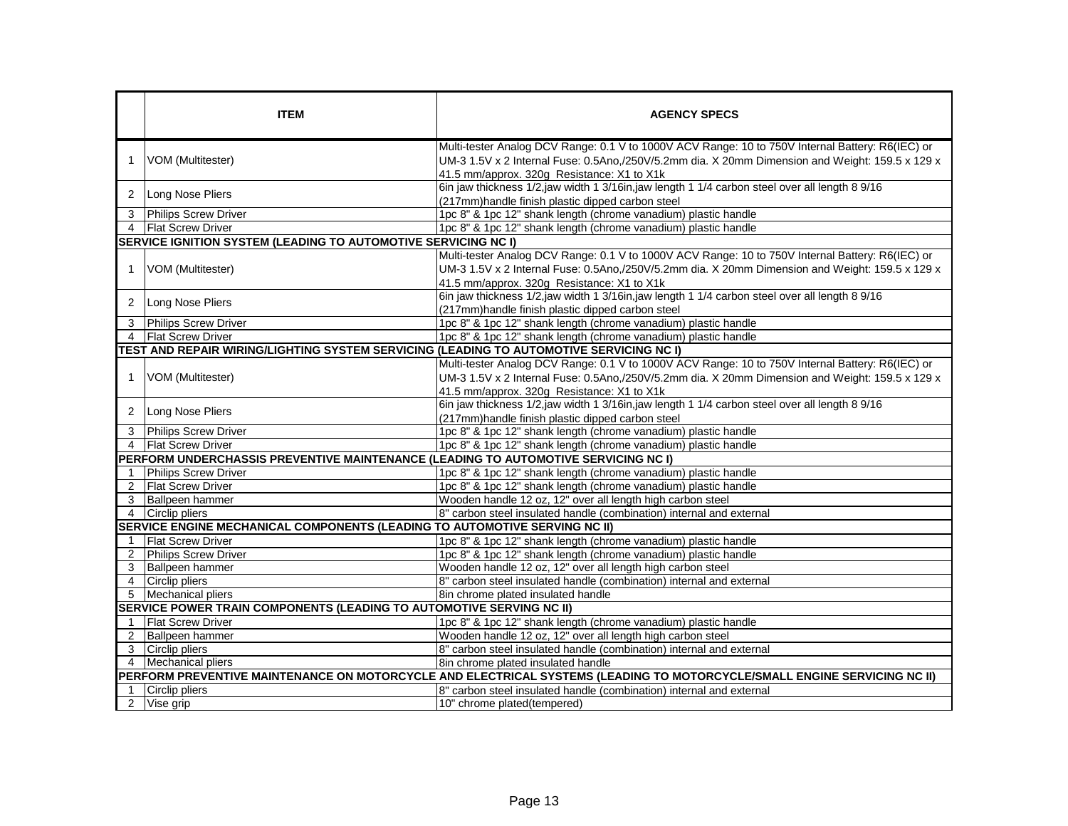|                                                                                                                          | <b>ITEM</b>                                                                             | <b>AGENCY SPECS</b>                                                                                                                                                                                                                               |  |  |  |
|--------------------------------------------------------------------------------------------------------------------------|-----------------------------------------------------------------------------------------|---------------------------------------------------------------------------------------------------------------------------------------------------------------------------------------------------------------------------------------------------|--|--|--|
| $\overline{1}$                                                                                                           | VOM (Multitester)                                                                       | Multi-tester Analog DCV Range: 0.1 V to 1000V ACV Range: 10 to 750V Internal Battery: R6(IEC) or<br>UM-3 1.5V x 2 Internal Fuse: 0.5Ano,/250V/5.2mm dia. X 20mm Dimension and Weight: 159.5 x 129 x<br>41.5 mm/approx. 320g Resistance: X1 to X1k |  |  |  |
| 2                                                                                                                        | Long Nose Pliers                                                                        | 6in jaw thickness 1/2,jaw width 1 3/16in,jaw length 1 1/4 carbon steel over all length 8 9/16<br>(217mm) handle finish plastic dipped carbon steel                                                                                                |  |  |  |
| 3                                                                                                                        | <b>Philips Screw Driver</b>                                                             | 1pc 8" & 1pc 12" shank length (chrome vanadium) plastic handle                                                                                                                                                                                    |  |  |  |
| 4                                                                                                                        | <b>Flat Screw Driver</b>                                                                | 1pc 8" & 1pc 12" shank length (chrome vanadium) plastic handle                                                                                                                                                                                    |  |  |  |
|                                                                                                                          | SERVICE IGNITION SYSTEM (LEADING TO AUTOMOTIVE SERVICING NC I)                          |                                                                                                                                                                                                                                                   |  |  |  |
| $\mathbf 1$                                                                                                              | VOM (Multitester)                                                                       | Multi-tester Analog DCV Range: 0.1 V to 1000V ACV Range: 10 to 750V Internal Battery: R6(IEC) or<br>UM-3 1.5V x 2 Internal Fuse: 0.5Ano,/250V/5.2mm dia. X 20mm Dimension and Weight: 159.5 x 129 x<br>41.5 mm/approx. 320g Resistance: X1 to X1k |  |  |  |
| 2                                                                                                                        | Long Nose Pliers                                                                        | 6in jaw thickness 1/2,jaw width 1 3/16in,jaw length 1 1/4 carbon steel over all length 8 9/16<br>(217mm)handle finish plastic dipped carbon steel                                                                                                 |  |  |  |
| 3                                                                                                                        | <b>Philips Screw Driver</b>                                                             | 1pc 8" & 1pc 12" shank length (chrome vanadium) plastic handle                                                                                                                                                                                    |  |  |  |
| 4                                                                                                                        | <b>Flat Screw Driver</b>                                                                | 1pc 8" & 1pc 12" shank length (chrome vanadium) plastic handle                                                                                                                                                                                    |  |  |  |
|                                                                                                                          | TEST AND REPAIR WIRING/LIGHTING SYSTEM SERVICING (LEADING TO AUTOMOTIVE SERVICING NC I) |                                                                                                                                                                                                                                                   |  |  |  |
| -1                                                                                                                       | VOM (Multitester)                                                                       | Multi-tester Analog DCV Range: 0.1 V to 1000V ACV Range: 10 to 750V Internal Battery: R6(IEC) or<br>UM-3 1.5V x 2 Internal Fuse: 0.5Ano,/250V/5.2mm dia. X 20mm Dimension and Weight: 159.5 x 129 x<br>41.5 mm/approx. 320g Resistance: X1 to X1k |  |  |  |
| 2                                                                                                                        | Long Nose Pliers                                                                        | 6in jaw thickness 1/2,jaw width 1 3/16in,jaw length 1 1/4 carbon steel over all length 8 9/16<br>(217mm)handle finish plastic dipped carbon steel                                                                                                 |  |  |  |
| 3                                                                                                                        | <b>Philips Screw Driver</b>                                                             | 1pc 8" & 1pc 12" shank length (chrome vanadium) plastic handle                                                                                                                                                                                    |  |  |  |
| $\overline{4}$                                                                                                           | <b>Flat Screw Driver</b>                                                                | 1pc 8" & 1pc 12" shank length (chrome vanadium) plastic handle                                                                                                                                                                                    |  |  |  |
|                                                                                                                          | PERFORM UNDERCHASSIS PREVENTIVE MAINTENANCE (LEADING TO AUTOMOTIVE SERVICING NC I)      |                                                                                                                                                                                                                                                   |  |  |  |
| $\mathbf{1}$                                                                                                             | Philips Screw Driver                                                                    | 1pc 8" & 1pc 12" shank length (chrome vanadium) plastic handle                                                                                                                                                                                    |  |  |  |
| 2                                                                                                                        | <b>Flat Screw Driver</b>                                                                | 1pc 8" & 1pc 12" shank length (chrome vanadium) plastic handle                                                                                                                                                                                    |  |  |  |
| 3                                                                                                                        | <b>Ballpeen hammer</b>                                                                  | Wooden handle 12 oz, 12" over all length high carbon steel                                                                                                                                                                                        |  |  |  |
| 4                                                                                                                        | Circlip pliers                                                                          | 8" carbon steel insulated handle (combination) internal and external                                                                                                                                                                              |  |  |  |
|                                                                                                                          | SERVICE ENGINE MECHANICAL COMPONENTS (LEADING TO AUTOMOTIVE SERVING NC II)              |                                                                                                                                                                                                                                                   |  |  |  |
| $\mathbf{1}$                                                                                                             | <b>Flat Screw Driver</b>                                                                | 1pc 8" & 1pc 12" shank length (chrome vanadium) plastic handle                                                                                                                                                                                    |  |  |  |
| 2                                                                                                                        | <b>Philips Screw Driver</b>                                                             | 1pc 8" & 1pc 12" shank length (chrome vanadium) plastic handle                                                                                                                                                                                    |  |  |  |
| 3                                                                                                                        | Ballpeen hammer                                                                         | Wooden handle 12 oz, 12" over all length high carbon steel                                                                                                                                                                                        |  |  |  |
| $\overline{4}$                                                                                                           | Circlip pliers                                                                          | 8" carbon steel insulated handle (combination) internal and external                                                                                                                                                                              |  |  |  |
| 5                                                                                                                        | Mechanical pliers                                                                       | 8in chrome plated insulated handle                                                                                                                                                                                                                |  |  |  |
|                                                                                                                          | SERVICE POWER TRAIN COMPONENTS (LEADING TO AUTOMOTIVE SERVING NC II)                    |                                                                                                                                                                                                                                                   |  |  |  |
| $\overline{\mathbf{1}}$                                                                                                  | <b>Flat Screw Driver</b>                                                                | 1pc 8" & 1pc 12" shank length (chrome vanadium) plastic handle                                                                                                                                                                                    |  |  |  |
| 2                                                                                                                        | <b>Ballpeen hammer</b>                                                                  | Wooden handle 12 oz, 12" over all length high carbon steel                                                                                                                                                                                        |  |  |  |
| 3                                                                                                                        | Circlip pliers                                                                          | 8" carbon steel insulated handle (combination) internal and external                                                                                                                                                                              |  |  |  |
| 4                                                                                                                        | <b>Mechanical pliers</b>                                                                | 8in chrome plated insulated handle                                                                                                                                                                                                                |  |  |  |
| PERFORM PREVENTIVE MAINTENANCE ON MOTORCYCLE AND ELECTRICAL SYSTEMS (LEADING TO MOTORCYCLE/SMALL ENGINE SERVICING NC II) |                                                                                         |                                                                                                                                                                                                                                                   |  |  |  |
| $\mathbf 1$                                                                                                              | Circlip pliers                                                                          | 8" carbon steel insulated handle (combination) internal and external                                                                                                                                                                              |  |  |  |
| 2                                                                                                                        | Vise grip                                                                               | 10" chrome plated(tempered)                                                                                                                                                                                                                       |  |  |  |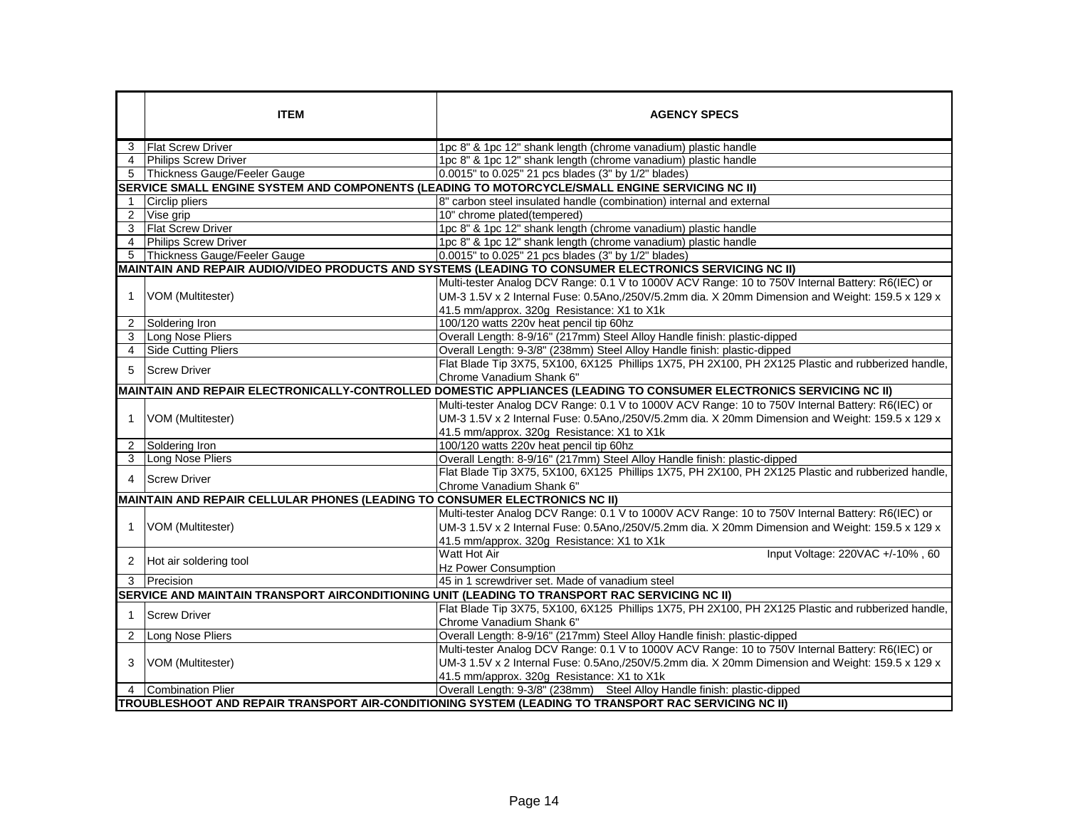|                                                                                                        | <b>ITEM</b>                                                                                                         | <b>AGENCY SPECS</b>                                                                                  |  |  |  |
|--------------------------------------------------------------------------------------------------------|---------------------------------------------------------------------------------------------------------------------|------------------------------------------------------------------------------------------------------|--|--|--|
| 3                                                                                                      | <b>IFlat Screw Driver</b>                                                                                           | 1pc 8" & 1pc 12" shank length (chrome vanadium) plastic handle                                       |  |  |  |
| $\overline{4}$                                                                                         | <b>Philips Screw Driver</b>                                                                                         | 1pc 8" & 1pc 12" shank length (chrome vanadium) plastic handle                                       |  |  |  |
|                                                                                                        | 5 Thickness Gauge/Feeler Gauge                                                                                      | 0.0015" to 0.025" 21 pcs blades (3" by 1/2" blades)                                                  |  |  |  |
|                                                                                                        | SERVICE SMALL ENGINE SYSTEM AND COMPONENTS (LEADING TO MOTORCYCLE/SMALL ENGINE SERVICING NC II)                     |                                                                                                      |  |  |  |
| $\mathbf 1$                                                                                            | Circlip pliers                                                                                                      | 8" carbon steel insulated handle (combination) internal and external                                 |  |  |  |
| $\overline{2}$                                                                                         | Vise grip                                                                                                           | 10" chrome plated(tempered)                                                                          |  |  |  |
| 3                                                                                                      | <b>Flat Screw Driver</b>                                                                                            | 1pc 8" & 1pc 12" shank length (chrome vanadium) plastic handle                                       |  |  |  |
| 4                                                                                                      | <b>Philips Screw Driver</b>                                                                                         | 1pc 8" & 1pc 12" shank length (chrome vanadium) plastic handle                                       |  |  |  |
| 5                                                                                                      | Thickness Gauge/Feeler Gauge                                                                                        | 0.0015" to 0.025" 21 pcs blades (3" by 1/2" blades)                                                  |  |  |  |
| MAINTAIN AND REPAIR AUDIO/VIDEO PRODUCTS AND SYSTEMS (LEADING TO CONSUMER ELECTRONICS SERVICING NC II) |                                                                                                                     |                                                                                                      |  |  |  |
|                                                                                                        |                                                                                                                     | Multi-tester Analog DCV Range: 0.1 V to 1000V ACV Range: 10 to 750V Internal Battery: R6(IEC) or     |  |  |  |
| 1                                                                                                      | VOM (Multitester)                                                                                                   | UM-3 1.5V x 2 Internal Fuse: 0.5Ano,/250V/5.2mm dia. X 20mm Dimension and Weight: 159.5 x 129 x      |  |  |  |
|                                                                                                        |                                                                                                                     | 41.5 mm/approx. 320g Resistance: X1 to X1k                                                           |  |  |  |
| 2                                                                                                      | Soldering Iron                                                                                                      | 100/120 watts 220v heat pencil tip 60hz                                                              |  |  |  |
| 3                                                                                                      | Long Nose Pliers                                                                                                    | Overall Length: 8-9/16" (217mm) Steel Alloy Handle finish: plastic-dipped                            |  |  |  |
| 4                                                                                                      | <b>Side Cutting Pliers</b>                                                                                          | Overall Length: 9-3/8" (238mm) Steel Alloy Handle finish: plastic-dipped                             |  |  |  |
| 5                                                                                                      | <b>Screw Driver</b>                                                                                                 | Flat Blade Tip 3X75, 5X100, 6X125 Phillips 1X75, PH 2X100, PH 2X125 Plastic and rubberized handle,   |  |  |  |
|                                                                                                        |                                                                                                                     | Chrome Vanadium Shank 6"                                                                             |  |  |  |
|                                                                                                        | MAINTAIN AND REPAIR ELECTRONICALLY-CONTROLLED DOMESTIC APPLIANCES (LEADING TO CONSUMER ELECTRONICS SERVICING NC II) |                                                                                                      |  |  |  |
|                                                                                                        | VOM (Multitester)                                                                                                   | Multi-tester Analog DCV Range: 0.1 V to 1000V ACV Range: 10 to 750V Internal Battery: R6(IEC) or     |  |  |  |
| $\overline{1}$                                                                                         |                                                                                                                     | UM-3 1.5V x 2 Internal Fuse: 0.5Ano,/250V/5.2mm dia. X 20mm Dimension and Weight: 159.5 x 129 x      |  |  |  |
|                                                                                                        |                                                                                                                     | 41.5 mm/approx. 320g Resistance: X1 to X1k                                                           |  |  |  |
| 2                                                                                                      | Soldering Iron                                                                                                      | 100/120 watts 220v heat pencil tip 60hz                                                              |  |  |  |
| 3                                                                                                      | Long Nose Pliers                                                                                                    | Overall Length: 8-9/16" (217mm) Steel Alloy Handle finish: plastic-dipped                            |  |  |  |
| 4                                                                                                      | <b>Screw Driver</b>                                                                                                 | Flat Blade Tip 3X75, 5X100, 6X125 Phillips 1X75, PH 2X100, PH 2X125 Plastic and rubberized handle,   |  |  |  |
|                                                                                                        |                                                                                                                     | Chrome Vanadium Shank 6"                                                                             |  |  |  |
|                                                                                                        | MAINTAIN AND REPAIR CELLULAR PHONES (LEADING TO CONSUMER ELECTRONICS NC II)                                         |                                                                                                      |  |  |  |
|                                                                                                        | VOM (Multitester)                                                                                                   | Multi-tester Analog DCV Range: 0.1 V to 1000V ACV Range: 10 to 750V Internal Battery: R6(IEC) or     |  |  |  |
| $\mathbf 1$                                                                                            |                                                                                                                     | UM-3 1.5V x 2 Internal Fuse: 0.5Ano,/250V/5.2mm dia. X 20mm Dimension and Weight: 159.5 x 129 x      |  |  |  |
|                                                                                                        |                                                                                                                     | 41.5 mm/approx. 320g Resistance: X1 to X1k                                                           |  |  |  |
|                                                                                                        |                                                                                                                     | Input Voltage: 220VAC +/-10%, 60<br>Watt Hot Air                                                     |  |  |  |
| 2                                                                                                      | Hot air soldering tool                                                                                              | <b>Hz Power Consumption</b>                                                                          |  |  |  |
| 3                                                                                                      | Precision                                                                                                           | 45 in 1 screwdriver set. Made of vanadium steel                                                      |  |  |  |
|                                                                                                        | SERVICE AND MAINTAIN TRANSPORT AIRCONDITIONING UNIT (LEADING TO TRANSPORT RAC SERVICING NC II)                      |                                                                                                      |  |  |  |
|                                                                                                        |                                                                                                                     | Flat Blade Tip 3X75, 5X100, 6X125 Phillips 1X75, PH 2X100, PH 2X125 Plastic and rubberized handle,   |  |  |  |
| 1                                                                                                      | <b>Screw Driver</b>                                                                                                 | Chrome Vanadium Shank 6"                                                                             |  |  |  |
| 2                                                                                                      | Long Nose Pliers                                                                                                    | Overall Length: 8-9/16" (217mm) Steel Alloy Handle finish: plastic-dipped                            |  |  |  |
|                                                                                                        | VOM (Multitester)                                                                                                   | Multi-tester Analog DCV Range: 0.1 V to 1000V ACV Range: 10 to 750V Internal Battery: R6(IEC) or     |  |  |  |
| 3                                                                                                      |                                                                                                                     | UM-3 1.5V x 2 Internal Fuse: 0.5Ano,/250V/5.2mm dia. X 20mm Dimension and Weight: 159.5 x 129 x      |  |  |  |
|                                                                                                        |                                                                                                                     | 41.5 mm/approx. 320g Resistance: X1 to X1k                                                           |  |  |  |
| 4                                                                                                      | Combination Plier                                                                                                   | Overall Length: 9-3/8" (238mm) Steel Alloy Handle finish: plastic-dipped                             |  |  |  |
|                                                                                                        |                                                                                                                     | TROUBLESHOOT AND REPAIR TRANSPORT AIR-CONDITIONING SYSTEM (LEADING TO TRANSPORT RAC SERVICING NC II) |  |  |  |